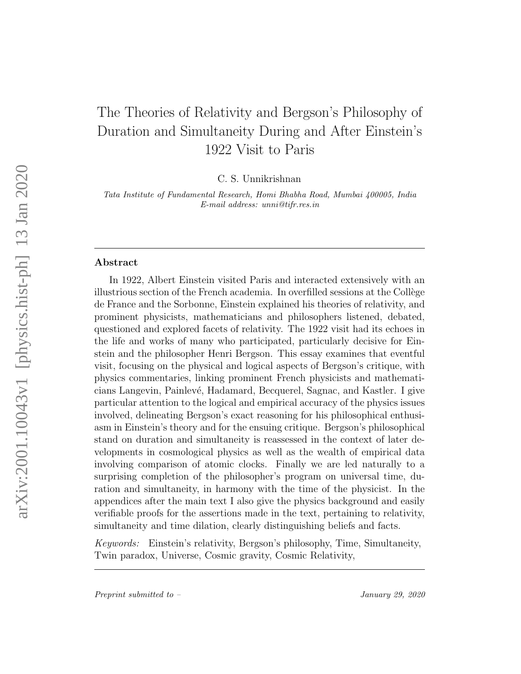# The Theories of Relativity and Bergson's Philosophy of Duration and Simultaneity During and After Einstein's 1922 Visit to Paris

C. S. Unnikrishnan

Tata Institute of Fundamental Research, Homi Bhabha Road, Mumbai 400005, India E-mail address: unni@tifr.res.in

#### Abstract

In 1922, Albert Einstein visited Paris and interacted extensively with an illustrious section of the French academia. In overfilled sessions at the Collège de France and the Sorbonne, Einstein explained his theories of relativity, and prominent physicists, mathematicians and philosophers listened, debated, questioned and explored facets of relativity. The 1922 visit had its echoes in the life and works of many who participated, particularly decisive for Einstein and the philosopher Henri Bergson. This essay examines that eventful visit, focusing on the physical and logical aspects of Bergson's critique, with physics commentaries, linking prominent French physicists and mathematicians Langevin, Painlev´e, Hadamard, Becquerel, Sagnac, and Kastler. I give particular attention to the logical and empirical accuracy of the physics issues involved, delineating Bergson's exact reasoning for his philosophical enthusiasm in Einstein's theory and for the ensuing critique. Bergson's philosophical stand on duration and simultaneity is reassessed in the context of later developments in cosmological physics as well as the wealth of empirical data involving comparison of atomic clocks. Finally we are led naturally to a surprising completion of the philosopher's program on universal time, duration and simultaneity, in harmony with the time of the physicist. In the appendices after the main text I also give the physics background and easily verifiable proofs for the assertions made in the text, pertaining to relativity, simultaneity and time dilation, clearly distinguishing beliefs and facts.

Keywords: Einstein's relativity, Bergson's philosophy, Time, Simultaneity, Twin paradox, Universe, Cosmic gravity, Cosmic Relativity,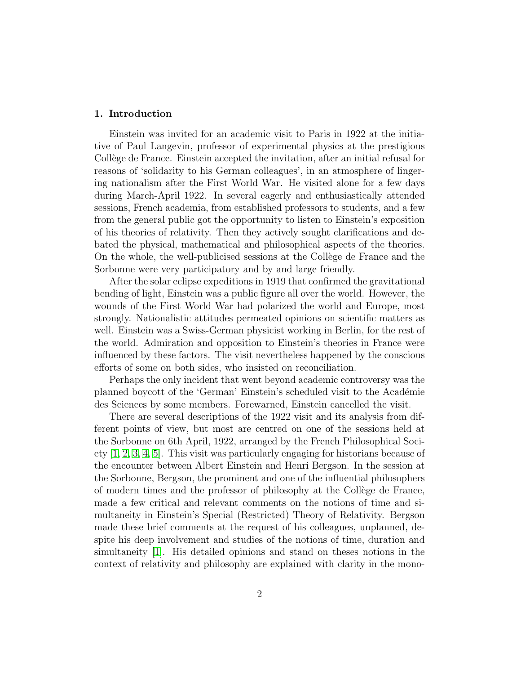# 1. Introduction

Einstein was invited for an academic visit to Paris in 1922 at the initiative of Paul Langevin, professor of experimental physics at the prestigious Collège de France. Einstein accepted the invitation, after an initial refusal for reasons of 'solidarity to his German colleagues', in an atmosphere of lingering nationalism after the First World War. He visited alone for a few days during March-April 1922. In several eagerly and enthusiastically attended sessions, French academia, from established professors to students, and a few from the general public got the opportunity to listen to Einstein's exposition of his theories of relativity. Then they actively sought clarifications and debated the physical, mathematical and philosophical aspects of the theories. On the whole, the well-publicised sessions at the Collège de France and the Sorbonne were very participatory and by and large friendly.

After the solar eclipse expeditions in 1919 that confirmed the gravitational bending of light, Einstein was a public figure all over the world. However, the wounds of the First World War had polarized the world and Europe, most strongly. Nationalistic attitudes permeated opinions on scientific matters as well. Einstein was a Swiss-German physicist working in Berlin, for the rest of the world. Admiration and opposition to Einstein's theories in France were influenced by these factors. The visit nevertheless happened by the conscious efforts of some on both sides, who insisted on reconciliation.

Perhaps the only incident that went beyond academic controversy was the planned boycott of the 'German' Einstein's scheduled visit to the Académie des Sciences by some members. Forewarned, Einstein cancelled the visit.

There are several descriptions of the 1922 visit and its analysis from different points of view, but most are centred on one of the sessions held at the Sorbonne on 6th April, 1922, arranged by the French Philosophical Society [\[1,](#page-57-0) [2,](#page-57-1) [3,](#page-57-2) [4,](#page-58-0) [5\]](#page-58-1). This visit was particularly engaging for historians because of the encounter between Albert Einstein and Henri Bergson. In the session at the Sorbonne, Bergson, the prominent and one of the influential philosophers of modern times and the professor of philosophy at the Collège de France, made a few critical and relevant comments on the notions of time and simultaneity in Einstein's Special (Restricted) Theory of Relativity. Bergson made these brief comments at the request of his colleagues, unplanned, despite his deep involvement and studies of the notions of time, duration and simultaneity [\[1\]](#page-57-0). His detailed opinions and stand on theses notions in the context of relativity and philosophy are explained with clarity in the mono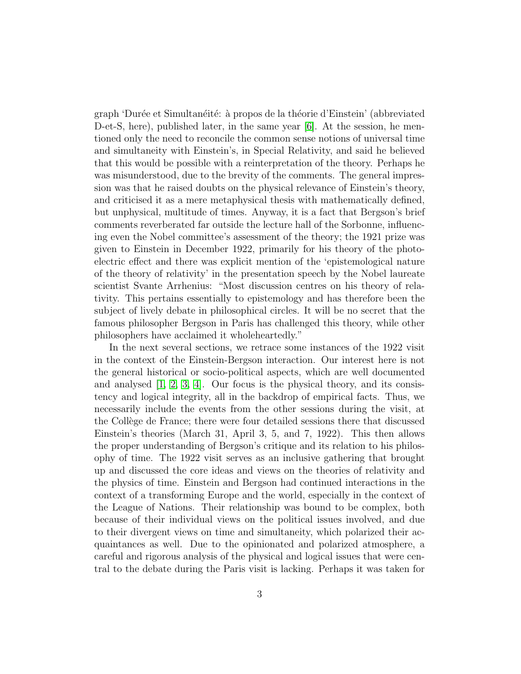graph 'Durée et Simultanéité: à propos de la théorie d'Einstein' (abbreviated D-et-S, here), published later, in the same year [\[6\]](#page-58-2). At the session, he mentioned only the need to reconcile the common sense notions of universal time and simultaneity with Einstein's, in Special Relativity, and said he believed that this would be possible with a reinterpretation of the theory. Perhaps he was misunderstood, due to the brevity of the comments. The general impression was that he raised doubts on the physical relevance of Einstein's theory, and criticised it as a mere metaphysical thesis with mathematically defined, but unphysical, multitude of times. Anyway, it is a fact that Bergson's brief comments reverberated far outside the lecture hall of the Sorbonne, influencing even the Nobel committee's assessment of the theory; the 1921 prize was given to Einstein in December 1922, primarily for his theory of the photoelectric effect and there was explicit mention of the 'epistemological nature of the theory of relativity' in the presentation speech by the Nobel laureate scientist Svante Arrhenius: "Most discussion centres on his theory of relativity. This pertains essentially to epistemology and has therefore been the subject of lively debate in philosophical circles. It will be no secret that the famous philosopher Bergson in Paris has challenged this theory, while other philosophers have acclaimed it wholeheartedly."

In the next several sections, we retrace some instances of the 1922 visit in the context of the Einstein-Bergson interaction. Our interest here is not the general historical or socio-political aspects, which are well documented and analysed  $[1, 2, 3, 4]$  $[1, 2, 3, 4]$  $[1, 2, 3, 4]$  $[1, 2, 3, 4]$ . Our focus is the physical theory, and its consistency and logical integrity, all in the backdrop of empirical facts. Thus, we necessarily include the events from the other sessions during the visit, at the Collège de France; there were four detailed sessions there that discussed Einstein's theories (March 31, April 3, 5, and 7, 1922). This then allows the proper understanding of Bergson's critique and its relation to his philosophy of time. The 1922 visit serves as an inclusive gathering that brought up and discussed the core ideas and views on the theories of relativity and the physics of time. Einstein and Bergson had continued interactions in the context of a transforming Europe and the world, especially in the context of the League of Nations. Their relationship was bound to be complex, both because of their individual views on the political issues involved, and due to their divergent views on time and simultaneity, which polarized their acquaintances as well. Due to the opinionated and polarized atmosphere, a careful and rigorous analysis of the physical and logical issues that were central to the debate during the Paris visit is lacking. Perhaps it was taken for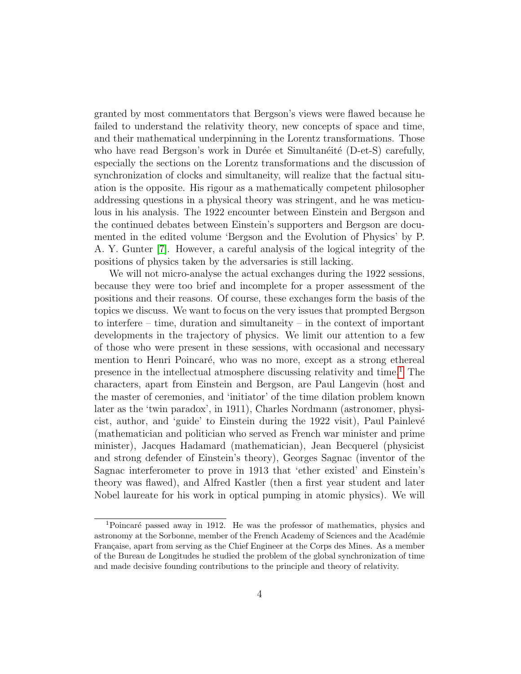granted by most commentators that Bergson's views were flawed because he failed to understand the relativity theory, new concepts of space and time, and their mathematical underpinning in the Lorentz transformations. Those who have read Bergson's work in Durée et Simultanéité (D-et-S) carefully, especially the sections on the Lorentz transformations and the discussion of synchronization of clocks and simultaneity, will realize that the factual situation is the opposite. His rigour as a mathematically competent philosopher addressing questions in a physical theory was stringent, and he was meticulous in his analysis. The 1922 encounter between Einstein and Bergson and the continued debates between Einstein's supporters and Bergson are documented in the edited volume 'Bergson and the Evolution of Physics' by P. A. Y. Gunter [\[7\]](#page-58-3). However, a careful analysis of the logical integrity of the positions of physics taken by the adversaries is still lacking.

We will not micro-analyse the actual exchanges during the 1922 sessions, because they were too brief and incomplete for a proper assessment of the positions and their reasons. Of course, these exchanges form the basis of the topics we discuss. We want to focus on the very issues that prompted Bergson to interfere – time, duration and simultaneity – in the context of important developments in the trajectory of physics. We limit our attention to a few of those who were present in these sessions, with occasional and necessary mention to Henri Poincaré, who was no more, except as a strong ethereal presence in the intellectual atmosphere discussing relativity and time.[1](#page-3-0) The characters, apart from Einstein and Bergson, are Paul Langevin (host and the master of ceremonies, and 'initiator' of the time dilation problem known later as the 'twin paradox', in 1911), Charles Nordmann (astronomer, physicist, author, and 'guide' to Einstein during the 1922 visit), Paul Painlevé (mathematician and politician who served as French war minister and prime minister), Jacques Hadamard (mathematician), Jean Becquerel (physicist and strong defender of Einstein's theory), Georges Sagnac (inventor of the Sagnac interferometer to prove in 1913 that 'ether existed' and Einstein's theory was flawed), and Alfred Kastler (then a first year student and later Nobel laureate for his work in optical pumping in atomic physics). We will

<span id="page-3-0"></span><sup>&</sup>lt;sup>1</sup>Poincaré passed away in 1912. He was the professor of mathematics, physics and astronomy at the Sorbonne, member of the French Academy of Sciences and the Académie Française, apart from serving as the Chief Engineer at the Corps des Mines. As a member of the Bureau de Longitudes he studied the problem of the global synchronization of time and made decisive founding contributions to the principle and theory of relativity.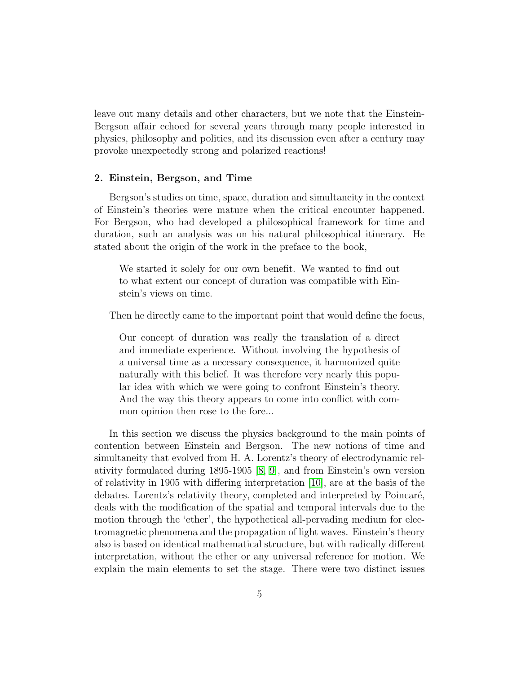leave out many details and other characters, but we note that the Einstein-Bergson affair echoed for several years through many people interested in physics, philosophy and politics, and its discussion even after a century may provoke unexpectedly strong and polarized reactions!

## 2. Einstein, Bergson, and Time

Bergson's studies on time, space, duration and simultaneity in the context of Einstein's theories were mature when the critical encounter happened. For Bergson, who had developed a philosophical framework for time and duration, such an analysis was on his natural philosophical itinerary. He stated about the origin of the work in the preface to the book,

We started it solely for our own benefit. We wanted to find out to what extent our concept of duration was compatible with Einstein's views on time.

Then he directly came to the important point that would define the focus,

Our concept of duration was really the translation of a direct and immediate experience. Without involving the hypothesis of a universal time as a necessary consequence, it harmonized quite naturally with this belief. It was therefore very nearly this popular idea with which we were going to confront Einstein's theory. And the way this theory appears to come into conflict with common opinion then rose to the fore...

In this section we discuss the physics background to the main points of contention between Einstein and Bergson. The new notions of time and simultaneity that evolved from H. A. Lorentz's theory of electrodynamic relativity formulated during 1895-1905 [\[8,](#page-58-4) [9\]](#page-58-5), and from Einstein's own version of relativity in 1905 with differing interpretation [\[10\]](#page-58-6), are at the basis of the debates. Lorentz's relativity theory, completed and interpreted by Poincaré, deals with the modification of the spatial and temporal intervals due to the motion through the 'ether', the hypothetical all-pervading medium for electromagnetic phenomena and the propagation of light waves. Einstein's theory also is based on identical mathematical structure, but with radically different interpretation, without the ether or any universal reference for motion. We explain the main elements to set the stage. There were two distinct issues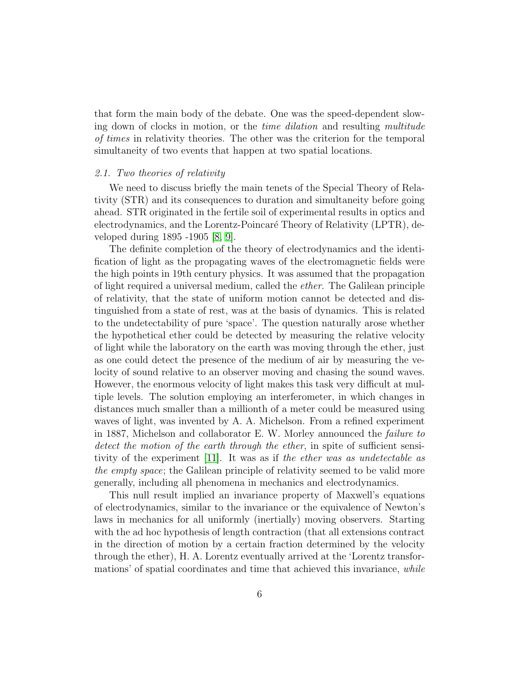that form the main body of the debate. One was the speed-dependent slowing down of clocks in motion, or the *time dilation* and resulting multitude of times in relativity theories. The other was the criterion for the temporal simultaneity of two events that happen at two spatial locations.

# 2.1. Two theories of relativity

We need to discuss briefly the main tenets of the Special Theory of Relativity (STR) and its consequences to duration and simultaneity before going ahead. STR originated in the fertile soil of experimental results in optics and electrodynamics, and the Lorentz-Poincaré Theory of Relativity (LPTR), developed during 1895 -1905 [\[8,](#page-58-4) [9\]](#page-58-5).

The definite completion of the theory of electrodynamics and the identification of light as the propagating waves of the electromagnetic fields were the high points in 19th century physics. It was assumed that the propagation of light required a universal medium, called the ether. The Galilean principle of relativity, that the state of uniform motion cannot be detected and distinguished from a state of rest, was at the basis of dynamics. This is related to the undetectability of pure 'space'. The question naturally arose whether the hypothetical ether could be detected by measuring the relative velocity of light while the laboratory on the earth was moving through the ether, just as one could detect the presence of the medium of air by measuring the velocity of sound relative to an observer moving and chasing the sound waves. However, the enormous velocity of light makes this task very difficult at multiple levels. The solution employing an interferometer, in which changes in distances much smaller than a millionth of a meter could be measured using waves of light, was invented by A. A. Michelson. From a refined experiment in 1887, Michelson and collaborator E. W. Morley announced the failure to detect the motion of the earth through the ether, in spite of sufficient sensitivity of the experiment [\[11\]](#page-58-7). It was as if the ether was as undetectable as the empty space; the Galilean principle of relativity seemed to be valid more generally, including all phenomena in mechanics and electrodynamics.

This null result implied an invariance property of Maxwell's equations of electrodynamics, similar to the invariance or the equivalence of Newton's laws in mechanics for all uniformly (inertially) moving observers. Starting with the ad hoc hypothesis of length contraction (that all extensions contract in the direction of motion by a certain fraction determined by the velocity through the ether), H. A. Lorentz eventually arrived at the 'Lorentz transformations' of spatial coordinates and time that achieved this invariance, while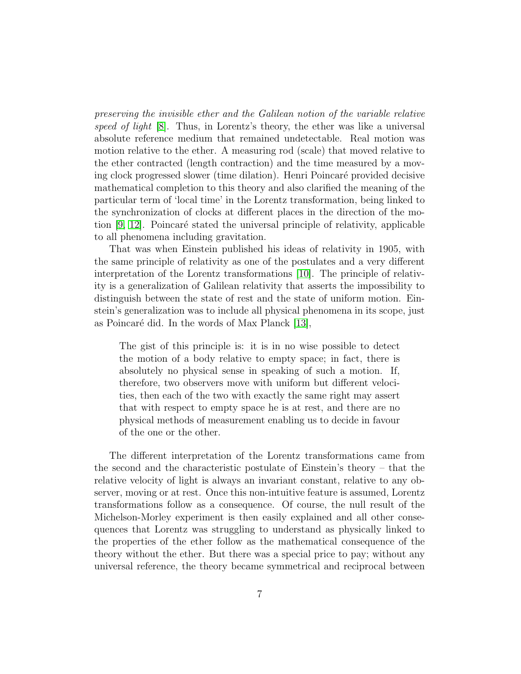preserving the invisible ether and the Galilean notion of the variable relative speed of light  $[8]$ . Thus, in Lorentz's theory, the ether was like a universal absolute reference medium that remained undetectable. Real motion was motion relative to the ether. A measuring rod (scale) that moved relative to the ether contracted (length contraction) and the time measured by a moving clock progressed slower (time dilation). Henri Poincar´e provided decisive mathematical completion to this theory and also clarified the meaning of the particular term of 'local time' in the Lorentz transformation, being linked to the synchronization of clocks at different places in the direction of the motion  $[9, 12]$  $[9, 12]$ . Poincaré stated the universal principle of relativity, applicable to all phenomena including gravitation.

That was when Einstein published his ideas of relativity in 1905, with the same principle of relativity as one of the postulates and a very different interpretation of the Lorentz transformations [\[10\]](#page-58-6). The principle of relativity is a generalization of Galilean relativity that asserts the impossibility to distinguish between the state of rest and the state of uniform motion. Einstein's generalization was to include all physical phenomena in its scope, just as Poincaré did. In the words of Max Planck [\[13\]](#page-58-9),

The gist of this principle is: it is in no wise possible to detect the motion of a body relative to empty space; in fact, there is absolutely no physical sense in speaking of such a motion. If, therefore, two observers move with uniform but different velocities, then each of the two with exactly the same right may assert that with respect to empty space he is at rest, and there are no physical methods of measurement enabling us to decide in favour of the one or the other.

The different interpretation of the Lorentz transformations came from the second and the characteristic postulate of Einstein's theory – that the relative velocity of light is always an invariant constant, relative to any observer, moving or at rest. Once this non-intuitive feature is assumed, Lorentz transformations follow as a consequence. Of course, the null result of the Michelson-Morley experiment is then easily explained and all other consequences that Lorentz was struggling to understand as physically linked to the properties of the ether follow as the mathematical consequence of the theory without the ether. But there was a special price to pay; without any universal reference, the theory became symmetrical and reciprocal between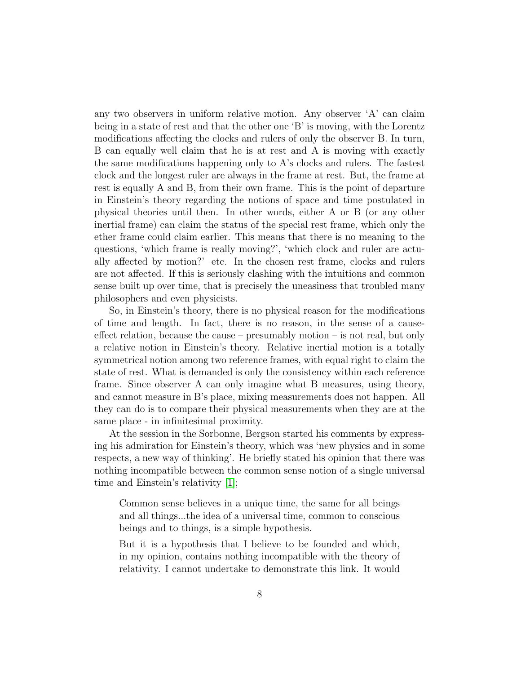any two observers in uniform relative motion. Any observer 'A' can claim being in a state of rest and that the other one 'B' is moving, with the Lorentz modifications affecting the clocks and rulers of only the observer B. In turn, B can equally well claim that he is at rest and A is moving with exactly the same modifications happening only to A's clocks and rulers. The fastest clock and the longest ruler are always in the frame at rest. But, the frame at rest is equally A and B, from their own frame. This is the point of departure in Einstein's theory regarding the notions of space and time postulated in physical theories until then. In other words, either A or B (or any other inertial frame) can claim the status of the special rest frame, which only the ether frame could claim earlier. This means that there is no meaning to the questions, 'which frame is really moving?', 'which clock and ruler are actually affected by motion?' etc. In the chosen rest frame, clocks and rulers are not affected. If this is seriously clashing with the intuitions and common sense built up over time, that is precisely the uneasiness that troubled many philosophers and even physicists.

So, in Einstein's theory, there is no physical reason for the modifications of time and length. In fact, there is no reason, in the sense of a causeeffect relation, because the cause – presumably motion – is not real, but only a relative notion in Einstein's theory. Relative inertial motion is a totally symmetrical notion among two reference frames, with equal right to claim the state of rest. What is demanded is only the consistency within each reference frame. Since observer A can only imagine what B measures, using theory, and cannot measure in B's place, mixing measurements does not happen. All they can do is to compare their physical measurements when they are at the same place - in infinitesimal proximity.

At the session in the Sorbonne, Bergson started his comments by expressing his admiration for Einstein's theory, which was 'new physics and in some respects, a new way of thinking'. He briefly stated his opinion that there was nothing incompatible between the common sense notion of a single universal time and Einstein's relativity [\[1\]](#page-57-0);

Common sense believes in a unique time, the same for all beings and all things...the idea of a universal time, common to conscious beings and to things, is a simple hypothesis.

But it is a hypothesis that I believe to be founded and which, in my opinion, contains nothing incompatible with the theory of relativity. I cannot undertake to demonstrate this link. It would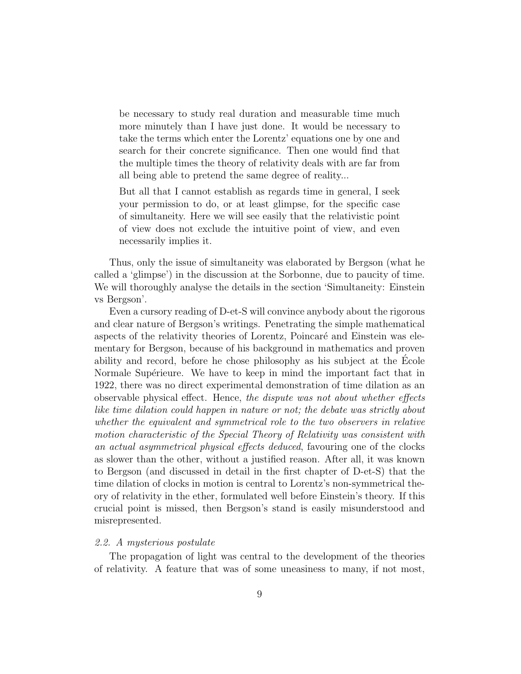be necessary to study real duration and measurable time much more minutely than I have just done. It would be necessary to take the terms which enter the Lorentz' equations one by one and search for their concrete significance. Then one would find that the multiple times the theory of relativity deals with are far from all being able to pretend the same degree of reality...

But all that I cannot establish as regards time in general, I seek your permission to do, or at least glimpse, for the specific case of simultaneity. Here we will see easily that the relativistic point of view does not exclude the intuitive point of view, and even necessarily implies it.

Thus, only the issue of simultaneity was elaborated by Bergson (what he called a 'glimpse') in the discussion at the Sorbonne, due to paucity of time. We will thoroughly analyse the details in the section 'Simultaneity: Einstein vs Bergson'.

Even a cursory reading of D-et-S will convince anybody about the rigorous and clear nature of Bergson's writings. Penetrating the simple mathematical aspects of the relativity theories of Lorentz, Poincaré and Einstein was elementary for Bergson, because of his background in mathematics and proven ability and record, before he chose philosophy as his subject at the Ecole ´ Normale Supérieure. We have to keep in mind the important fact that in 1922, there was no direct experimental demonstration of time dilation as an observable physical effect. Hence, the dispute was not about whether effects like time dilation could happen in nature or not; the debate was strictly about whether the equivalent and symmetrical role to the two observers in relative motion characteristic of the Special Theory of Relativity was consistent with an actual asymmetrical physical effects deduced, favouring one of the clocks as slower than the other, without a justified reason. After all, it was known to Bergson (and discussed in detail in the first chapter of D-et-S) that the time dilation of clocks in motion is central to Lorentz's non-symmetrical theory of relativity in the ether, formulated well before Einstein's theory. If this crucial point is missed, then Bergson's stand is easily misunderstood and misrepresented.

# 2.2. A mysterious postulate

The propagation of light was central to the development of the theories of relativity. A feature that was of some uneasiness to many, if not most,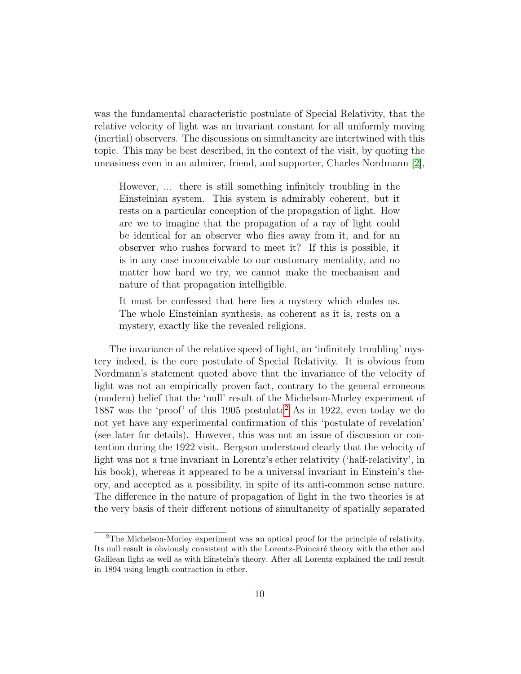was the fundamental characteristic postulate of Special Relativity, that the relative velocity of light was an invariant constant for all uniformly moving (inertial) observers. The discussions on simultaneity are intertwined with this topic. This may be best described, in the context of the visit, by quoting the uneasiness even in an admirer, friend, and supporter, Charles Nordmann [\[2\]](#page-57-1),

However, ... there is still something infinitely troubling in the Einsteinian system. This system is admirably coherent, but it rests on a particular conception of the propagation of light. How are we to imagine that the propagation of a ray of light could be identical for an observer who flies away from it, and for an observer who rushes forward to meet it? If this is possible, it is in any case inconceivable to our customary mentality, and no matter how hard we try, we cannot make the mechanism and nature of that propagation intelligible.

It must be confessed that here lies a mystery which eludes us. The whole Einsteinian synthesis, as coherent as it is, rests on a mystery, exactly like the revealed religions.

The invariance of the relative speed of light, an 'infinitely troubling' mystery indeed, is the core postulate of Special Relativity. It is obvious from Nordmann's statement quoted above that the invariance of the velocity of light was not an empirically proven fact, contrary to the general erroneous (modern) belief that the 'null' result of the Michelson-Morley experiment of 1887 was the 'proof' of this 1905 postulate<sup>[2](#page-9-0)</sup> As in 1922, even today we do not yet have any experimental confirmation of this 'postulate of revelation' (see later for details). However, this was not an issue of discussion or contention during the 1922 visit. Bergson understood clearly that the velocity of light was not a true invariant in Lorentz's ether relativity ('half-relativity', in his book), whereas it appeared to be a universal invariant in Einstein's theory, and accepted as a possibility, in spite of its anti-common sense nature. The difference in the nature of propagation of light in the two theories is at the very basis of their different notions of simultaneity of spatially separated

<span id="page-9-0"></span><sup>2</sup>The Michelson-Morley experiment was an optical proof for the principle of relativity. Its null result is obviously consistent with the Lorentz-Poincaré theory with the ether and Galilean light as well as with Einstein's theory. After all Lorentz explained the null result in 1894 using length contraction in ether.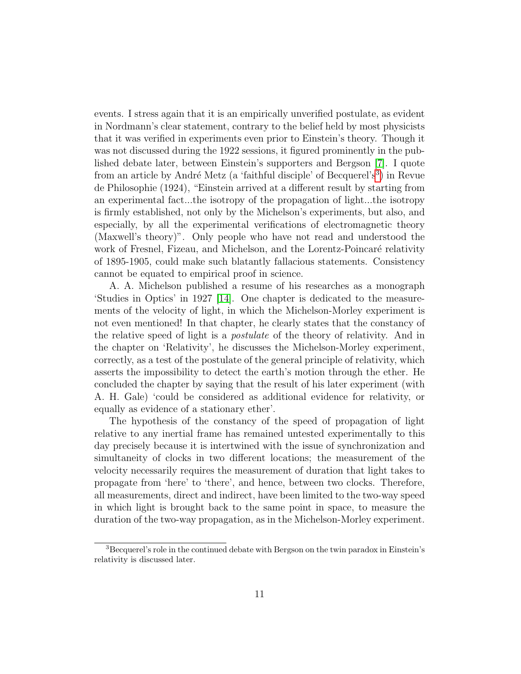events. I stress again that it is an empirically unverified postulate, as evident in Nordmann's clear statement, contrary to the belief held by most physicists that it was verified in experiments even prior to Einstein's theory. Though it was not discussed during the 1922 sessions, it figured prominently in the published debate later, between Einstein's supporters and Bergson [\[7\]](#page-58-3). I quote from an article by André Metz (a 'faithful disciple' of Becquerel's<sup>[3](#page-10-0)</sup>) in Revue de Philosophie (1924), "Einstein arrived at a different result by starting from an experimental fact...the isotropy of the propagation of light...the isotropy is firmly established, not only by the Michelson's experiments, but also, and especially, by all the experimental verifications of electromagnetic theory (Maxwell's theory)". Only people who have not read and understood the work of Fresnel, Fizeau, and Michelson, and the Lorentz-Poincaré relativity of 1895-1905, could make such blatantly fallacious statements. Consistency cannot be equated to empirical proof in science.

A. A. Michelson published a resume of his researches as a monograph 'Studies in Optics' in 1927 [\[14\]](#page-58-10). One chapter is dedicated to the measurements of the velocity of light, in which the Michelson-Morley experiment is not even mentioned! In that chapter, he clearly states that the constancy of the relative speed of light is a postulate of the theory of relativity. And in the chapter on 'Relativity', he discusses the Michelson-Morley experiment, correctly, as a test of the postulate of the general principle of relativity, which asserts the impossibility to detect the earth's motion through the ether. He concluded the chapter by saying that the result of his later experiment (with A. H. Gale) 'could be considered as additional evidence for relativity, or equally as evidence of a stationary ether'.

The hypothesis of the constancy of the speed of propagation of light relative to any inertial frame has remained untested experimentally to this day precisely because it is intertwined with the issue of synchronization and simultaneity of clocks in two different locations; the measurement of the velocity necessarily requires the measurement of duration that light takes to propagate from 'here' to 'there', and hence, between two clocks. Therefore, all measurements, direct and indirect, have been limited to the two-way speed in which light is brought back to the same point in space, to measure the duration of the two-way propagation, as in the Michelson-Morley experiment.

<span id="page-10-0"></span><sup>&</sup>lt;sup>3</sup>Becquerel's role in the continued debate with Bergson on the twin paradox in Einstein's relativity is discussed later.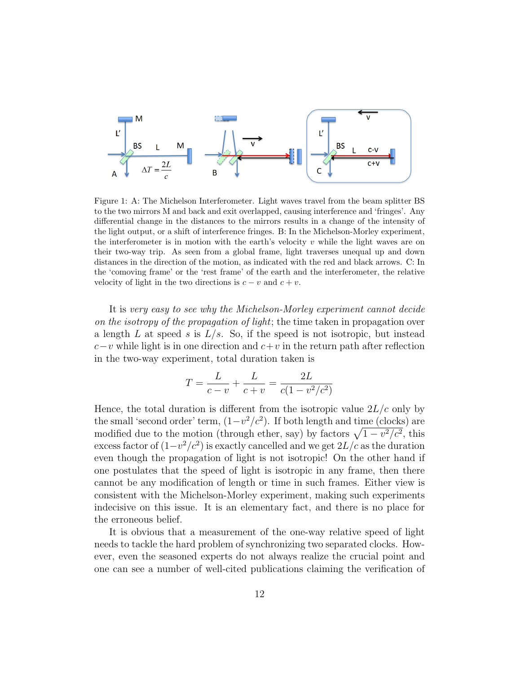

Figure 1: A: The Michelson Interferometer. Light waves travel from the beam splitter BS to the two mirrors M and back and exit overlapped, causing interference and 'fringes'. Any differential change in the distances to the mirrors results in a change of the intensity of the light output, or a shift of interference fringes. B: In the Michelson-Morley experiment, the interferometer is in motion with the earth's velocity  $v$  while the light waves are on their two-way trip. As seen from a global frame, light traverses unequal up and down distances in the direction of the motion, as indicated with the red and black arrows. C: In the 'comoving frame' or the 'rest frame' of the earth and the interferometer, the relative velocity of light in the two directions is  $c - v$  and  $c + v$ .

It is very easy to see why the Michelson-Morley experiment cannot decide on the isotropy of the propagation of light; the time taken in propagation over a length L at speed s is  $L/s$ . So, if the speed is not isotropic, but instead  $c-v$  while light is in one direction and  $c+v$  in the return path after reflection in the two-way experiment, total duration taken is

$$
T = \frac{L}{c - v} + \frac{L}{c + v} = \frac{2L}{c(1 - v^2/c^2)}
$$

Hence, the total duration is different from the isotropic value  $2L/c$  only by the small 'second order' term,  $(1-v^2/c^2)$ . If both length and time (clocks) are modified due to the motion (through ether, say) by factors  $\sqrt{1 - v^2/c^2}$ , this excess factor of  $(1-v^2/c^2)$  is exactly cancelled and we get  $2L/c$  as the duration even though the propagation of light is not isotropic! On the other hand if one postulates that the speed of light is isotropic in any frame, then there cannot be any modification of length or time in such frames. Either view is consistent with the Michelson-Morley experiment, making such experiments indecisive on this issue. It is an elementary fact, and there is no place for the erroneous belief.

It is obvious that a measurement of the one-way relative speed of light needs to tackle the hard problem of synchronizing two separated clocks. However, even the seasoned experts do not always realize the crucial point and one can see a number of well-cited publications claiming the verification of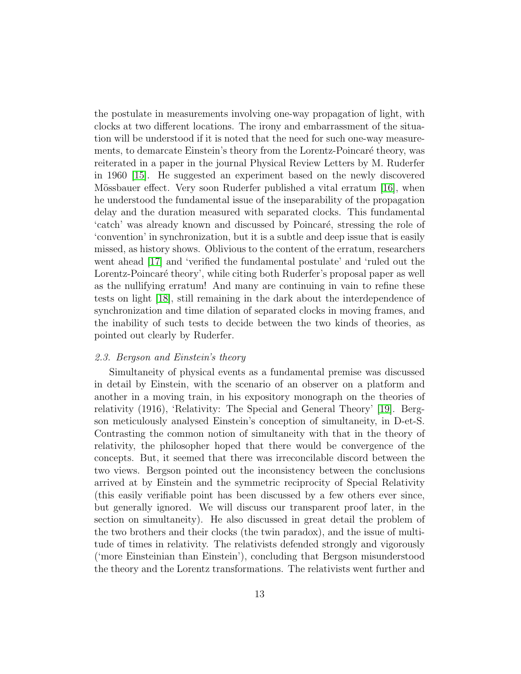the postulate in measurements involving one-way propagation of light, with clocks at two different locations. The irony and embarrassment of the situation will be understood if it is noted that the need for such one-way measurements, to demarcate Einstein's theory from the Lorentz-Poincaré theory, was reiterated in a paper in the journal Physical Review Letters by M. Ruderfer in 1960 [\[15\]](#page-58-11). He suggested an experiment based on the newly discovered Mössbauer effect. Very soon Ruderfer published a vital erratum [\[16\]](#page-59-0), when he understood the fundamental issue of the inseparability of the propagation delay and the duration measured with separated clocks. This fundamental 'catch' was already known and discussed by Poincaré, stressing the role of 'convention' in synchronization, but it is a subtle and deep issue that is easily missed, as history shows. Oblivious to the content of the erratum, researchers went ahead [\[17\]](#page-59-1) and 'verified the fundamental postulate' and 'ruled out the Lorentz-Poincaré theory', while citing both Ruderfer's proposal paper as well as the nullifying erratum! And many are continuing in vain to refine these tests on light [\[18\]](#page-59-2), still remaining in the dark about the interdependence of synchronization and time dilation of separated clocks in moving frames, and the inability of such tests to decide between the two kinds of theories, as pointed out clearly by Ruderfer.

#### 2.3. Bergson and Einstein's theory

Simultaneity of physical events as a fundamental premise was discussed in detail by Einstein, with the scenario of an observer on a platform and another in a moving train, in his expository monograph on the theories of relativity (1916), 'Relativity: The Special and General Theory' [\[19\]](#page-59-3). Bergson meticulously analysed Einstein's conception of simultaneity, in D-et-S. Contrasting the common notion of simultaneity with that in the theory of relativity, the philosopher hoped that there would be convergence of the concepts. But, it seemed that there was irreconcilable discord between the two views. Bergson pointed out the inconsistency between the conclusions arrived at by Einstein and the symmetric reciprocity of Special Relativity (this easily verifiable point has been discussed by a few others ever since, but generally ignored. We will discuss our transparent proof later, in the section on simultaneity). He also discussed in great detail the problem of the two brothers and their clocks (the twin paradox), and the issue of multitude of times in relativity. The relativists defended strongly and vigorously ('more Einsteinian than Einstein'), concluding that Bergson misunderstood the theory and the Lorentz transformations. The relativists went further and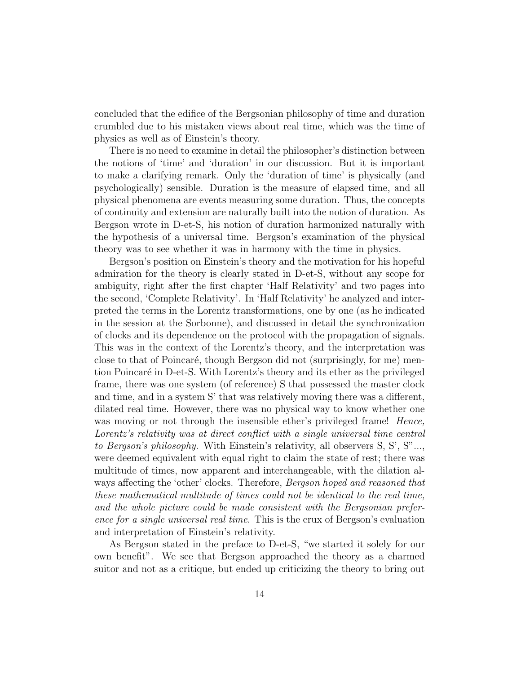concluded that the edifice of the Bergsonian philosophy of time and duration crumbled due to his mistaken views about real time, which was the time of physics as well as of Einstein's theory.

There is no need to examine in detail the philosopher's distinction between the notions of 'time' and 'duration' in our discussion. But it is important to make a clarifying remark. Only the 'duration of time' is physically (and psychologically) sensible. Duration is the measure of elapsed time, and all physical phenomena are events measuring some duration. Thus, the concepts of continuity and extension are naturally built into the notion of duration. As Bergson wrote in D-et-S, his notion of duration harmonized naturally with the hypothesis of a universal time. Bergson's examination of the physical theory was to see whether it was in harmony with the time in physics.

Bergson's position on Einstein's theory and the motivation for his hopeful admiration for the theory is clearly stated in D-et-S, without any scope for ambiguity, right after the first chapter 'Half Relativity' and two pages into the second, 'Complete Relativity'. In 'Half Relativity' he analyzed and interpreted the terms in the Lorentz transformations, one by one (as he indicated in the session at the Sorbonne), and discussed in detail the synchronization of clocks and its dependence on the protocol with the propagation of signals. This was in the context of the Lorentz's theory, and the interpretation was close to that of Poincaré, though Bergson did not (surprisingly, for me) mention Poincaré in D-et-S. With Lorentz's theory and its ether as the privileged frame, there was one system (of reference) S that possessed the master clock and time, and in a system S' that was relatively moving there was a different, dilated real time. However, there was no physical way to know whether one was moving or not through the insensible ether's privileged frame! Hence, Lorentz's relativity was at direct conflict with a single universal time central to Bergson's philosophy. With Einstein's relativity, all observers S, S', S"..., were deemed equivalent with equal right to claim the state of rest; there was multitude of times, now apparent and interchangeable, with the dilation always affecting the 'other' clocks. Therefore, Bergson hoped and reasoned that these mathematical multitude of times could not be identical to the real time, and the whole picture could be made consistent with the Bergsonian preference for a single universal real time. This is the crux of Bergson's evaluation and interpretation of Einstein's relativity.

As Bergson stated in the preface to D-et-S, "we started it solely for our own benefit". We see that Bergson approached the theory as a charmed suitor and not as a critique, but ended up criticizing the theory to bring out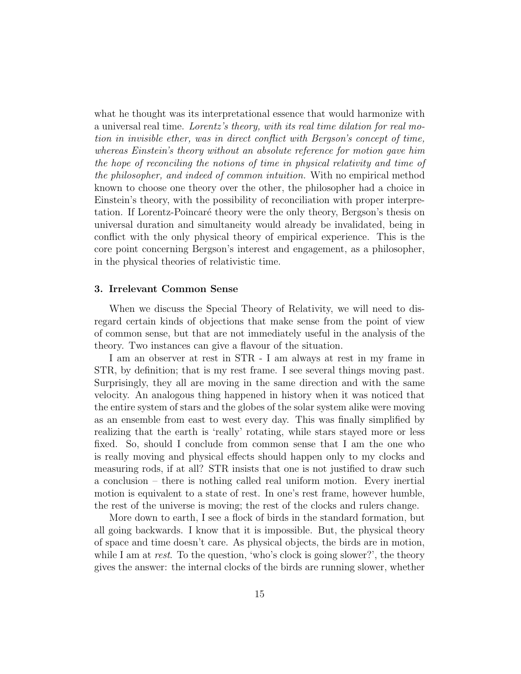what he thought was its interpretational essence that would harmonize with a universal real time. Lorentz's theory, with its real time dilation for real motion in invisible ether, was in direct conflict with Bergson's concept of time, whereas Einstein's theory without an absolute reference for motion gave him the hope of reconciling the notions of time in physical relativity and time of the philosopher, and indeed of common intuition. With no empirical method known to choose one theory over the other, the philosopher had a choice in Einstein's theory, with the possibility of reconciliation with proper interpretation. If Lorentz-Poincaré theory were the only theory, Bergson's thesis on universal duration and simultaneity would already be invalidated, being in conflict with the only physical theory of empirical experience. This is the core point concerning Bergson's interest and engagement, as a philosopher, in the physical theories of relativistic time.

## 3. Irrelevant Common Sense

When we discuss the Special Theory of Relativity, we will need to disregard certain kinds of objections that make sense from the point of view of common sense, but that are not immediately useful in the analysis of the theory. Two instances can give a flavour of the situation.

I am an observer at rest in STR - I am always at rest in my frame in STR, by definition; that is my rest frame. I see several things moving past. Surprisingly, they all are moving in the same direction and with the same velocity. An analogous thing happened in history when it was noticed that the entire system of stars and the globes of the solar system alike were moving as an ensemble from east to west every day. This was finally simplified by realizing that the earth is 'really' rotating, while stars stayed more or less fixed. So, should I conclude from common sense that I am the one who is really moving and physical effects should happen only to my clocks and measuring rods, if at all? STR insists that one is not justified to draw such a conclusion – there is nothing called real uniform motion. Every inertial motion is equivalent to a state of rest. In one's rest frame, however humble, the rest of the universe is moving; the rest of the clocks and rulers change.

More down to earth, I see a flock of birds in the standard formation, but all going backwards. I know that it is impossible. But, the physical theory of space and time doesn't care. As physical objects, the birds are in motion, while I am at rest. To the question, 'who's clock is going slower?', the theory gives the answer: the internal clocks of the birds are running slower, whether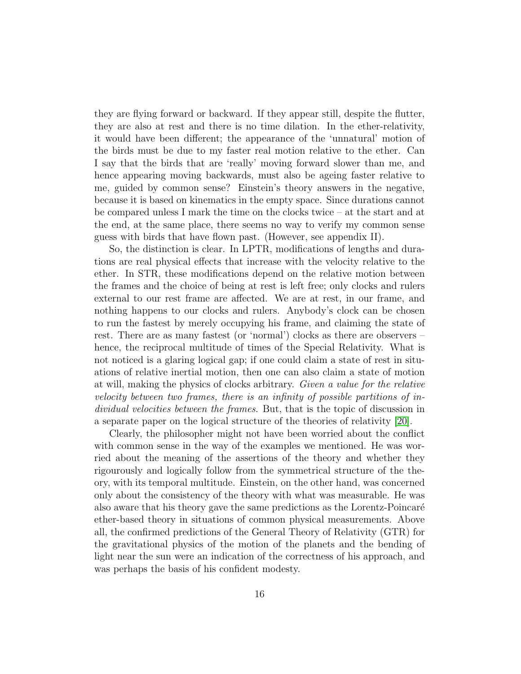they are flying forward or backward. If they appear still, despite the flutter, they are also at rest and there is no time dilation. In the ether-relativity, it would have been different; the appearance of the 'unnatural' motion of the birds must be due to my faster real motion relative to the ether. Can I say that the birds that are 'really' moving forward slower than me, and hence appearing moving backwards, must also be ageing faster relative to me, guided by common sense? Einstein's theory answers in the negative, because it is based on kinematics in the empty space. Since durations cannot be compared unless I mark the time on the clocks twice – at the start and at the end, at the same place, there seems no way to verify my common sense guess with birds that have flown past. (However, see appendix II).

So, the distinction is clear. In LPTR, modifications of lengths and durations are real physical effects that increase with the velocity relative to the ether. In STR, these modifications depend on the relative motion between the frames and the choice of being at rest is left free; only clocks and rulers external to our rest frame are affected. We are at rest, in our frame, and nothing happens to our clocks and rulers. Anybody's clock can be chosen to run the fastest by merely occupying his frame, and claiming the state of rest. There are as many fastest (or 'normal') clocks as there are observers – hence, the reciprocal multitude of times of the Special Relativity. What is not noticed is a glaring logical gap; if one could claim a state of rest in situations of relative inertial motion, then one can also claim a state of motion at will, making the physics of clocks arbitrary. Given a value for the relative velocity between two frames, there is an infinity of possible partitions of individual velocities between the frames. But, that is the topic of discussion in a separate paper on the logical structure of the theories of relativity [\[20\]](#page-59-4).

Clearly, the philosopher might not have been worried about the conflict with common sense in the way of the examples we mentioned. He was worried about the meaning of the assertions of the theory and whether they rigourously and logically follow from the symmetrical structure of the theory, with its temporal multitude. Einstein, on the other hand, was concerned only about the consistency of the theory with what was measurable. He was also aware that his theory gave the same predictions as the Lorentz-Poincaré ether-based theory in situations of common physical measurements. Above all, the confirmed predictions of the General Theory of Relativity (GTR) for the gravitational physics of the motion of the planets and the bending of light near the sun were an indication of the correctness of his approach, and was perhaps the basis of his confident modesty.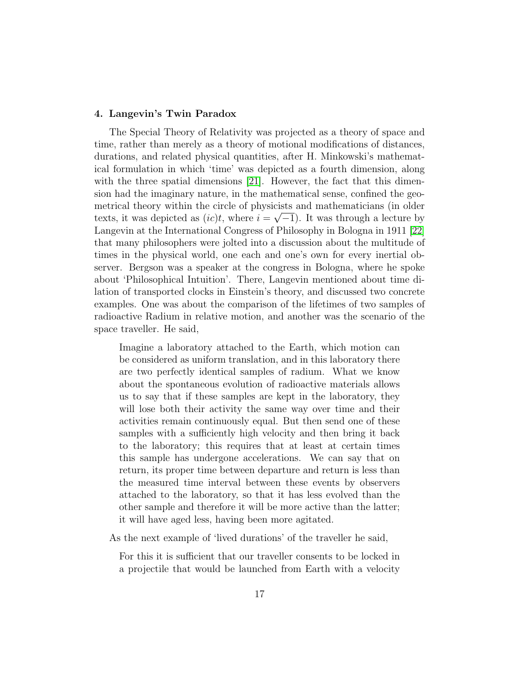# 4. Langevin's Twin Paradox

The Special Theory of Relativity was projected as a theory of space and time, rather than merely as a theory of motional modifications of distances, durations, and related physical quantities, after H. Minkowski's mathematical formulation in which 'time' was depicted as a fourth dimension, along with the three spatial dimensions  $[21]$ . However, the fact that this dimension had the imaginary nature, in the mathematical sense, confined the geometrical theory within the circle of physicists and mathematicians (in older texts, it was depicted as  $(ic)t$ , where  $i = \sqrt{-1}$ ). It was through a lecture by Langevin at the International Congress of Philosophy in Bologna in 1911 [\[22\]](#page-59-6) that many philosophers were jolted into a discussion about the multitude of times in the physical world, one each and one's own for every inertial observer. Bergson was a speaker at the congress in Bologna, where he spoke about 'Philosophical Intuition'. There, Langevin mentioned about time dilation of transported clocks in Einstein's theory, and discussed two concrete examples. One was about the comparison of the lifetimes of two samples of radioactive Radium in relative motion, and another was the scenario of the space traveller. He said,

Imagine a laboratory attached to the Earth, which motion can be considered as uniform translation, and in this laboratory there are two perfectly identical samples of radium. What we know about the spontaneous evolution of radioactive materials allows us to say that if these samples are kept in the laboratory, they will lose both their activity the same way over time and their activities remain continuously equal. But then send one of these samples with a sufficiently high velocity and then bring it back to the laboratory; this requires that at least at certain times this sample has undergone accelerations. We can say that on return, its proper time between departure and return is less than the measured time interval between these events by observers attached to the laboratory, so that it has less evolved than the other sample and therefore it will be more active than the latter; it will have aged less, having been more agitated.

As the next example of 'lived durations' of the traveller he said,

For this it is sufficient that our traveller consents to be locked in a projectile that would be launched from Earth with a velocity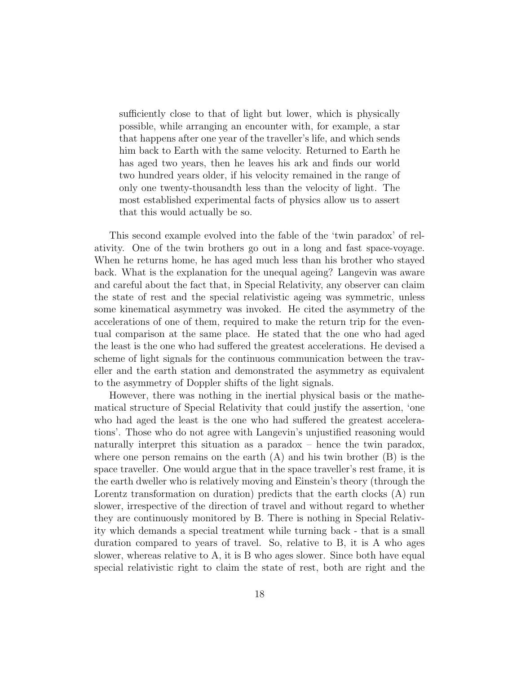sufficiently close to that of light but lower, which is physically possible, while arranging an encounter with, for example, a star that happens after one year of the traveller's life, and which sends him back to Earth with the same velocity. Returned to Earth he has aged two years, then he leaves his ark and finds our world two hundred years older, if his velocity remained in the range of only one twenty-thousandth less than the velocity of light. The most established experimental facts of physics allow us to assert that this would actually be so.

This second example evolved into the fable of the 'twin paradox' of relativity. One of the twin brothers go out in a long and fast space-voyage. When he returns home, he has aged much less than his brother who stayed back. What is the explanation for the unequal ageing? Langevin was aware and careful about the fact that, in Special Relativity, any observer can claim the state of rest and the special relativistic ageing was symmetric, unless some kinematical asymmetry was invoked. He cited the asymmetry of the accelerations of one of them, required to make the return trip for the eventual comparison at the same place. He stated that the one who had aged the least is the one who had suffered the greatest accelerations. He devised a scheme of light signals for the continuous communication between the traveller and the earth station and demonstrated the asymmetry as equivalent to the asymmetry of Doppler shifts of the light signals.

However, there was nothing in the inertial physical basis or the mathematical structure of Special Relativity that could justify the assertion, 'one who had aged the least is the one who had suffered the greatest accelerations'. Those who do not agree with Langevin's unjustified reasoning would naturally interpret this situation as a paradox – hence the twin paradox, where one person remains on the earth  $(A)$  and his twin brother  $(B)$  is the space traveller. One would argue that in the space traveller's rest frame, it is the earth dweller who is relatively moving and Einstein's theory (through the Lorentz transformation on duration) predicts that the earth clocks (A) run slower, irrespective of the direction of travel and without regard to whether they are continuously monitored by B. There is nothing in Special Relativity which demands a special treatment while turning back - that is a small duration compared to years of travel. So, relative to B, it is A who ages slower, whereas relative to A, it is B who ages slower. Since both have equal special relativistic right to claim the state of rest, both are right and the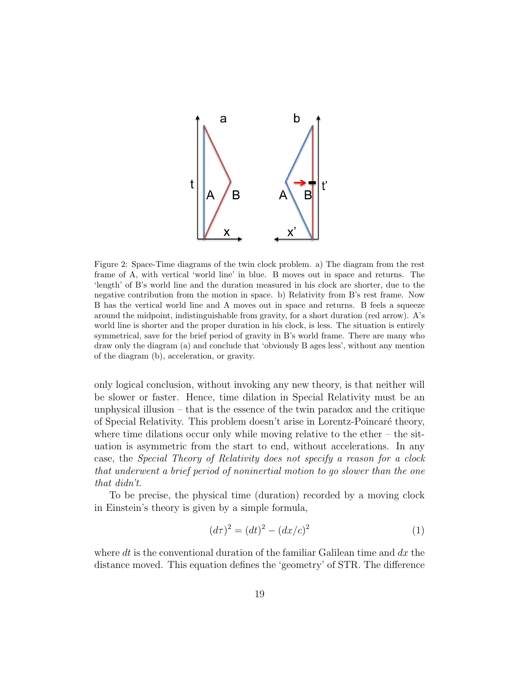

Figure 2: Space-Time diagrams of the twin clock problem. a) The diagram from the rest frame of A, with vertical 'world line' in blue. B moves out in space and returns. The 'length' of B's world line and the duration measured in his clock are shorter, due to the negative contribution from the motion in space. b) Relativity from B's rest frame. Now B has the vertical world line and A moves out in space and returns. B feels a squeeze around the midpoint, indistinguishable from gravity, for a short duration (red arrow). A's world line is shorter and the proper duration in his clock, is less. The situation is entirely symmetrical, save for the brief period of gravity in B's world frame. There are many who draw only the diagram (a) and conclude that 'obviously B ages less', without any mention of the diagram (b), acceleration, or gravity.

only logical conclusion, without invoking any new theory, is that neither will be slower or faster. Hence, time dilation in Special Relativity must be an unphysical illusion – that is the essence of the twin paradox and the critique of Special Relativity. This problem doesn't arise in Lorentz-Poincar´e theory, where time dilations occur only while moving relative to the ether  $-$  the situation is asymmetric from the start to end, without accelerations. In any case, the Special Theory of Relativity does not specify a reason for a clock that underwent a brief period of noninertial motion to go slower than the one that didn't.

To be precise, the physical time (duration) recorded by a moving clock in Einstein's theory is given by a simple formula,

$$
(d\tau)^2 = (dt)^2 - (dx/c)^2 \tag{1}
$$

where dt is the conventional duration of the familiar Galilean time and  $dx$  the distance moved. This equation defines the 'geometry' of STR. The difference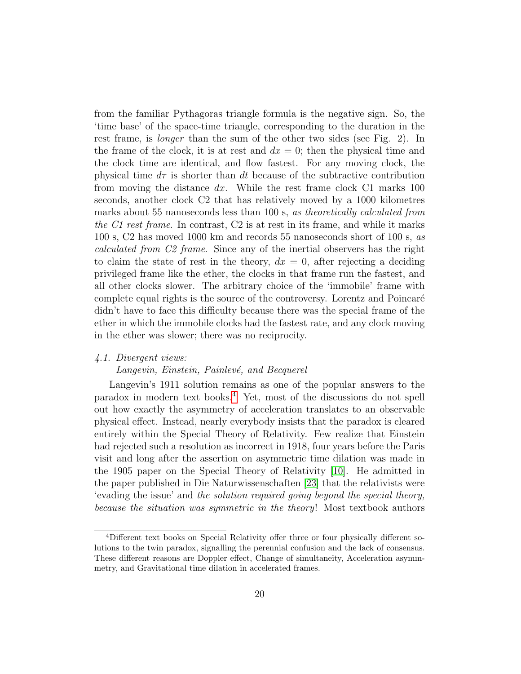from the familiar Pythagoras triangle formula is the negative sign. So, the 'time base' of the space-time triangle, corresponding to the duration in the rest frame, is *longer* than the sum of the other two sides (see Fig. 2). In the frame of the clock, it is at rest and  $dx = 0$ ; then the physical time and the clock time are identical, and flow fastest. For any moving clock, the physical time  $d\tau$  is shorter than dt because of the subtractive contribution from moving the distance dx. While the rest frame clock C1 marks  $100$ seconds, another clock C2 that has relatively moved by a 1000 kilometres marks about 55 nanoseconds less than 100 s, as theoretically calculated from the C1 rest frame. In contrast, C2 is at rest in its frame, and while it marks 100 s, C2 has moved 1000 km and records 55 nanoseconds short of 100 s, as calculated from C2 frame. Since any of the inertial observers has the right to claim the state of rest in the theory,  $dx = 0$ , after rejecting a deciding privileged frame like the ether, the clocks in that frame run the fastest, and all other clocks slower. The arbitrary choice of the 'immobile' frame with complete equal rights is the source of the controversy. Lorentz and Poincaré didn't have to face this difficulty because there was the special frame of the ether in which the immobile clocks had the fastest rate, and any clock moving in the ether was slower; there was no reciprocity.

#### 4.1. Divergent views:

# Langevin, Einstein, Painlevé, and Becquerel

Langevin's 1911 solution remains as one of the popular answers to the paradox in modern text books.[4](#page-19-0) Yet, most of the discussions do not spell out how exactly the asymmetry of acceleration translates to an observable physical effect. Instead, nearly everybody insists that the paradox is cleared entirely within the Special Theory of Relativity. Few realize that Einstein had rejected such a resolution as incorrect in 1918, four years before the Paris visit and long after the assertion on asymmetric time dilation was made in the 1905 paper on the Special Theory of Relativity [\[10\]](#page-58-6). He admitted in the paper published in Die Naturwissenschaften [\[23\]](#page-59-7) that the relativists were 'evading the issue' and the solution required going beyond the special theory, because the situation was symmetric in the theory! Most textbook authors

<span id="page-19-0"></span><sup>4</sup>Different text books on Special Relativity offer three or four physically different solutions to the twin paradox, signalling the perennial confusion and the lack of consensus. These different reasons are Doppler effect, Change of simultaneity, Acceleration asymmmetry, and Gravitational time dilation in accelerated frames.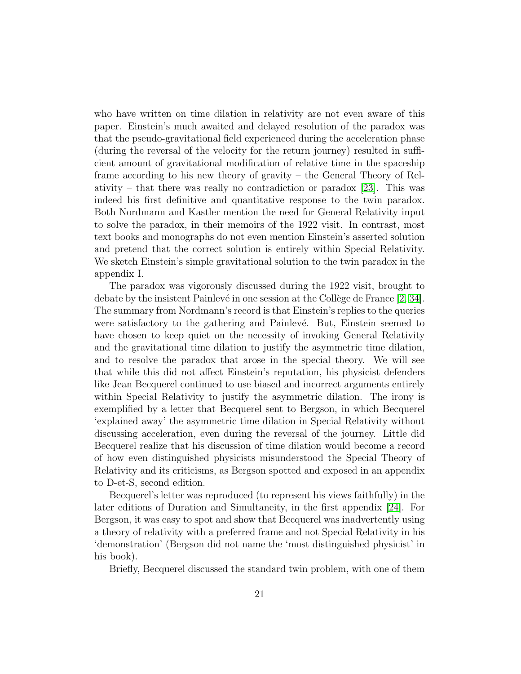who have written on time dilation in relativity are not even aware of this paper. Einstein's much awaited and delayed resolution of the paradox was that the pseudo-gravitational field experienced during the acceleration phase (during the reversal of the velocity for the return journey) resulted in sufficient amount of gravitational modification of relative time in the spaceship frame according to his new theory of gravity – the General Theory of Rel-ativity – that there was really no contradiction or paradox [\[23\]](#page-59-7). This was indeed his first definitive and quantitative response to the twin paradox. Both Nordmann and Kastler mention the need for General Relativity input to solve the paradox, in their memoirs of the 1922 visit. In contrast, most text books and monographs do not even mention Einstein's asserted solution and pretend that the correct solution is entirely within Special Relativity. We sketch Einstein's simple gravitational solution to the twin paradox in the appendix I.

The paradox was vigorously discussed during the 1922 visit, brought to debate by the insistent Painlevé in one session at the Collège de France  $[2, 34]$  $[2, 34]$ . The summary from Nordmann's record is that Einstein's replies to the queries were satisfactory to the gathering and Painlevé. But, Einstein seemed to have chosen to keep quiet on the necessity of invoking General Relativity and the gravitational time dilation to justify the asymmetric time dilation, and to resolve the paradox that arose in the special theory. We will see that while this did not affect Einstein's reputation, his physicist defenders like Jean Becquerel continued to use biased and incorrect arguments entirely within Special Relativity to justify the asymmetric dilation. The irony is exemplified by a letter that Becquerel sent to Bergson, in which Becquerel 'explained away' the asymmetric time dilation in Special Relativity without discussing acceleration, even during the reversal of the journey. Little did Becquerel realize that his discussion of time dilation would become a record of how even distinguished physicists misunderstood the Special Theory of Relativity and its criticisms, as Bergson spotted and exposed in an appendix to D-et-S, second edition.

Becquerel's letter was reproduced (to represent his views faithfully) in the later editions of Duration and Simultaneity, in the first appendix [\[24\]](#page-59-8). For Bergson, it was easy to spot and show that Becquerel was inadvertently using a theory of relativity with a preferred frame and not Special Relativity in his 'demonstration' (Bergson did not name the 'most distinguished physicist' in his book).

Briefly, Becquerel discussed the standard twin problem, with one of them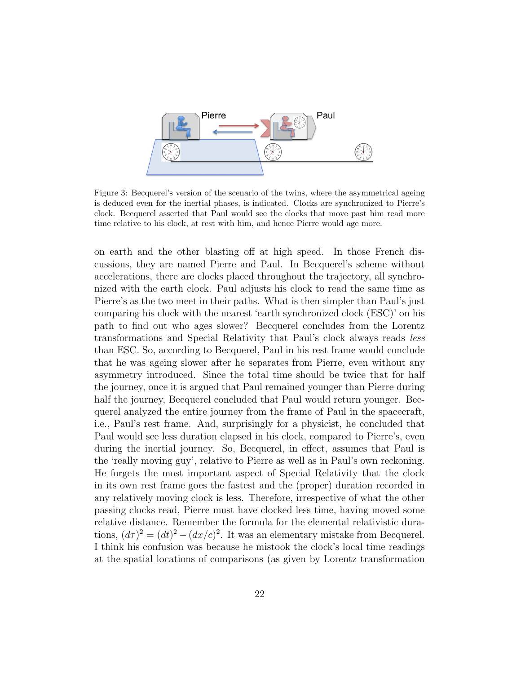

Figure 3: Becquerel's version of the scenario of the twins, where the asymmetrical ageing is deduced even for the inertial phases, is indicated. Clocks are synchronized to Pierre's clock. Becquerel asserted that Paul would see the clocks that move past him read more time relative to his clock, at rest with him, and hence Pierre would age more.

on earth and the other blasting off at high speed. In those French discussions, they are named Pierre and Paul. In Becquerel's scheme without accelerations, there are clocks placed throughout the trajectory, all synchronized with the earth clock. Paul adjusts his clock to read the same time as Pierre's as the two meet in their paths. What is then simpler than Paul's just comparing his clock with the nearest 'earth synchronized clock (ESC)' on his path to find out who ages slower? Becquerel concludes from the Lorentz transformations and Special Relativity that Paul's clock always reads less than ESC. So, according to Becquerel, Paul in his rest frame would conclude that he was ageing slower after he separates from Pierre, even without any asymmetry introduced. Since the total time should be twice that for half the journey, once it is argued that Paul remained younger than Pierre during half the journey, Becquerel concluded that Paul would return younger. Becquerel analyzed the entire journey from the frame of Paul in the spacecraft, i.e., Paul's rest frame. And, surprisingly for a physicist, he concluded that Paul would see less duration elapsed in his clock, compared to Pierre's, even during the inertial journey. So, Becquerel, in effect, assumes that Paul is the 'really moving guy', relative to Pierre as well as in Paul's own reckoning. He forgets the most important aspect of Special Relativity that the clock in its own rest frame goes the fastest and the (proper) duration recorded in any relatively moving clock is less. Therefore, irrespective of what the other passing clocks read, Pierre must have clocked less time, having moved some relative distance. Remember the formula for the elemental relativistic durations,  $(d\tau)^2 = (dt)^2 - (dx/c)^2$ . It was an elementary mistake from Becquerel. I think his confusion was because he mistook the clock's local time readings at the spatial locations of comparisons (as given by Lorentz transformation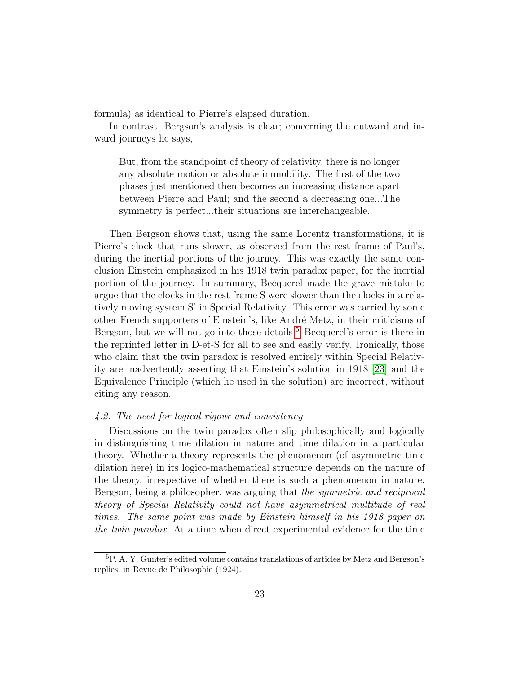formula) as identical to Pierre's elapsed duration.

In contrast, Bergson's analysis is clear; concerning the outward and inward journeys he says,

But, from the standpoint of theory of relativity, there is no longer any absolute motion or absolute immobility. The first of the two phases just mentioned then becomes an increasing distance apart between Pierre and Paul; and the second a decreasing one...The symmetry is perfect...their situations are interchangeable.

Then Bergson shows that, using the same Lorentz transformations, it is Pierre's clock that runs slower, as observed from the rest frame of Paul's, during the inertial portions of the journey. This was exactly the same conclusion Einstein emphasized in his 1918 twin paradox paper, for the inertial portion of the journey. In summary, Becquerel made the grave mistake to argue that the clocks in the rest frame S were slower than the clocks in a relatively moving system S' in Special Relativity. This error was carried by some other French supporters of Einstein's, like André Metz, in their criticisms of Bergson, but we will not go into those details.<sup>[5](#page-22-0)</sup> Becquerel's error is there in the reprinted letter in D-et-S for all to see and easily verify. Ironically, those who claim that the twin paradox is resolved entirely within Special Relativity are inadvertently asserting that Einstein's solution in 1918 [\[23\]](#page-59-7) and the Equivalence Principle (which he used in the solution) are incorrect, without citing any reason.

# 4.2. The need for logical rigour and consistency

Discussions on the twin paradox often slip philosophically and logically in distinguishing time dilation in nature and time dilation in a particular theory. Whether a theory represents the phenomenon (of asymmetric time dilation here) in its logico-mathematical structure depends on the nature of the theory, irrespective of whether there is such a phenomenon in nature. Bergson, being a philosopher, was arguing that the symmetric and reciprocal theory of Special Relativity could not have asymmetrical multitude of real times. The same point was made by Einstein himself in his 1918 paper on the twin paradox. At a time when direct experimental evidence for the time

<span id="page-22-0"></span><sup>5</sup>P. A. Y. Gunter's edited volume contains translations of articles by Metz and Bergson's replies, in Revue de Philosophie (1924).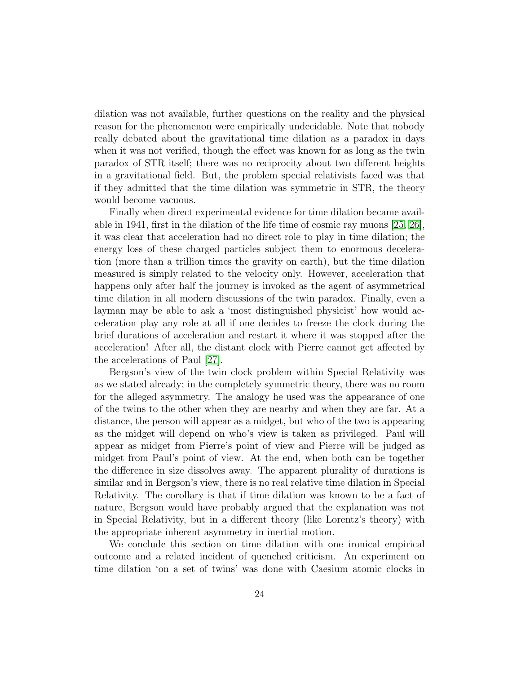dilation was not available, further questions on the reality and the physical reason for the phenomenon were empirically undecidable. Note that nobody really debated about the gravitational time dilation as a paradox in days when it was not verified, though the effect was known for as long as the twin paradox of STR itself; there was no reciprocity about two different heights in a gravitational field. But, the problem special relativists faced was that if they admitted that the time dilation was symmetric in STR, the theory would become vacuous.

Finally when direct experimental evidence for time dilation became available in 1941, first in the dilation of the life time of cosmic ray muons [\[25,](#page-59-9) [26\]](#page-59-10), it was clear that acceleration had no direct role to play in time dilation; the energy loss of these charged particles subject them to enormous deceleration (more than a trillion times the gravity on earth), but the time dilation measured is simply related to the velocity only. However, acceleration that happens only after half the journey is invoked as the agent of asymmetrical time dilation in all modern discussions of the twin paradox. Finally, even a layman may be able to ask a 'most distinguished physicist' how would acceleration play any role at all if one decides to freeze the clock during the brief durations of acceleration and restart it where it was stopped after the acceleration! After all, the distant clock with Pierre cannot get affected by the accelerations of Paul [\[27\]](#page-59-11).

Bergson's view of the twin clock problem within Special Relativity was as we stated already; in the completely symmetric theory, there was no room for the alleged asymmetry. The analogy he used was the appearance of one of the twins to the other when they are nearby and when they are far. At a distance, the person will appear as a midget, but who of the two is appearing as the midget will depend on who's view is taken as privileged. Paul will appear as midget from Pierre's point of view and Pierre will be judged as midget from Paul's point of view. At the end, when both can be together the difference in size dissolves away. The apparent plurality of durations is similar and in Bergson's view, there is no real relative time dilation in Special Relativity. The corollary is that if time dilation was known to be a fact of nature, Bergson would have probably argued that the explanation was not in Special Relativity, but in a different theory (like Lorentz's theory) with the appropriate inherent asymmetry in inertial motion.

We conclude this section on time dilation with one ironical empirical outcome and a related incident of quenched criticism. An experiment on time dilation 'on a set of twins' was done with Caesium atomic clocks in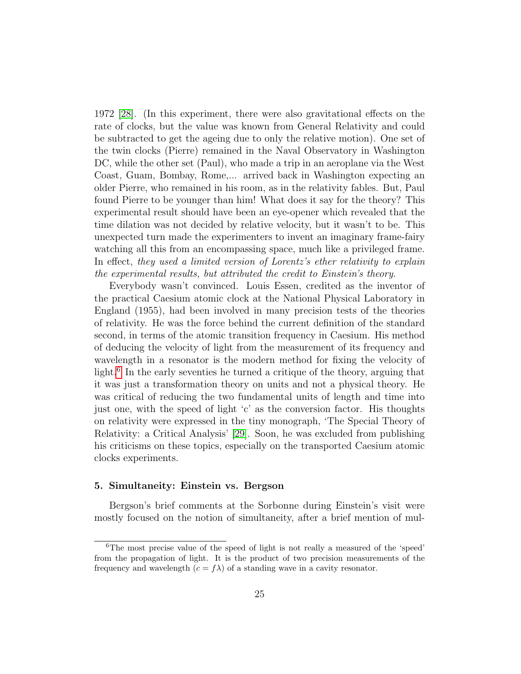1972 [\[28\]](#page-60-1). (In this experiment, there were also gravitational effects on the rate of clocks, but the value was known from General Relativity and could be subtracted to get the ageing due to only the relative motion). One set of the twin clocks (Pierre) remained in the Naval Observatory in Washington DC, while the other set (Paul), who made a trip in an aeroplane via the West Coast, Guam, Bombay, Rome,... arrived back in Washington expecting an older Pierre, who remained in his room, as in the relativity fables. But, Paul found Pierre to be younger than him! What does it say for the theory? This experimental result should have been an eye-opener which revealed that the time dilation was not decided by relative velocity, but it wasn't to be. This unexpected turn made the experimenters to invent an imaginary frame-fairy watching all this from an encompassing space, much like a privileged frame. In effect, they used a limited version of Lorentz's ether relativity to explain the experimental results, but attributed the credit to Einstein's theory.

Everybody wasn't convinced. Louis Essen, credited as the inventor of the practical Caesium atomic clock at the National Physical Laboratory in England (1955), had been involved in many precision tests of the theories of relativity. He was the force behind the current definition of the standard second, in terms of the atomic transition frequency in Caesium. His method of deducing the velocity of light from the measurement of its frequency and wavelength in a resonator is the modern method for fixing the velocity of light.<sup>[6](#page-24-0)</sup> In the early seventies he turned a critique of the theory, arguing that it was just a transformation theory on units and not a physical theory. He was critical of reducing the two fundamental units of length and time into just one, with the speed of light 'c' as the conversion factor. His thoughts on relativity were expressed in the tiny monograph, 'The Special Theory of Relativity: a Critical Analysis' [\[29\]](#page-60-2). Soon, he was excluded from publishing his criticisms on these topics, especially on the transported Caesium atomic clocks experiments.

# 5. Simultaneity: Einstein vs. Bergson

Bergson's brief comments at the Sorbonne during Einstein's visit were mostly focused on the notion of simultaneity, after a brief mention of mul-

<span id="page-24-0"></span><sup>6</sup>The most precise value of the speed of light is not really a measured of the 'speed' from the propagation of light. It is the product of two precision measurements of the frequency and wavelength  $(c = f\lambda)$  of a standing wave in a cavity resonator.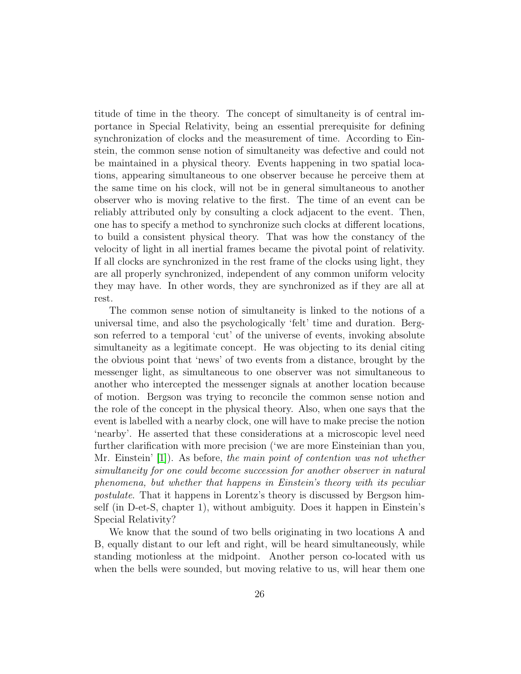titude of time in the theory. The concept of simultaneity is of central importance in Special Relativity, being an essential prerequisite for defining synchronization of clocks and the measurement of time. According to Einstein, the common sense notion of simultaneity was defective and could not be maintained in a physical theory. Events happening in two spatial locations, appearing simultaneous to one observer because he perceive them at the same time on his clock, will not be in general simultaneous to another observer who is moving relative to the first. The time of an event can be reliably attributed only by consulting a clock adjacent to the event. Then, one has to specify a method to synchronize such clocks at different locations, to build a consistent physical theory. That was how the constancy of the velocity of light in all inertial frames became the pivotal point of relativity. If all clocks are synchronized in the rest frame of the clocks using light, they are all properly synchronized, independent of any common uniform velocity they may have. In other words, they are synchronized as if they are all at rest.

The common sense notion of simultaneity is linked to the notions of a universal time, and also the psychologically 'felt' time and duration. Bergson referred to a temporal 'cut' of the universe of events, invoking absolute simultaneity as a legitimate concept. He was objecting to its denial citing the obvious point that 'news' of two events from a distance, brought by the messenger light, as simultaneous to one observer was not simultaneous to another who intercepted the messenger signals at another location because of motion. Bergson was trying to reconcile the common sense notion and the role of the concept in the physical theory. Also, when one says that the event is labelled with a nearby clock, one will have to make precise the notion 'nearby'. He asserted that these considerations at a microscopic level need further clarification with more precision ('we are more Einsteinian than you, Mr. Einstein' [\[1\]](#page-57-0)). As before, the main point of contention was not whether simultaneity for one could become succession for another observer in natural phenomena, but whether that happens in Einstein's theory with its peculiar postulate. That it happens in Lorentz's theory is discussed by Bergson himself (in D-et-S, chapter 1), without ambiguity. Does it happen in Einstein's Special Relativity?

We know that the sound of two bells originating in two locations A and B, equally distant to our left and right, will be heard simultaneously, while standing motionless at the midpoint. Another person co-located with us when the bells were sounded, but moving relative to us, will hear them one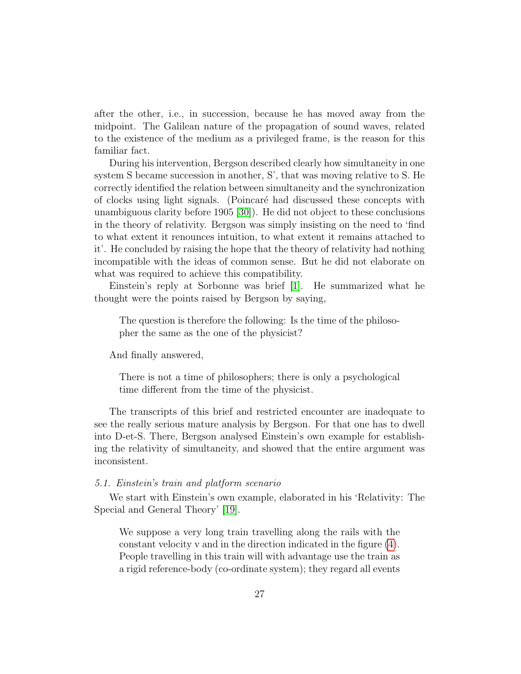after the other, i.e., in succession, because he has moved away from the midpoint. The Galilean nature of the propagation of sound waves, related to the existence of the medium as a privileged frame, is the reason for this familiar fact.

During his intervention, Bergson described clearly how simultaneity in one system S became succession in another, S', that was moving relative to S. He correctly identified the relation between simultaneity and the synchronization of clocks using light signals. (Poincaré had discussed these concepts with unambiguous clarity before 1905 [\[30\]](#page-60-3)). He did not object to these conclusions in the theory of relativity. Bergson was simply insisting on the need to 'find to what extent it renounces intuition, to what extent it remains attached to it'. He concluded by raising the hope that the theory of relativity had nothing incompatible with the ideas of common sense. But he did not elaborate on what was required to achieve this compatibility.

Einstein's reply at Sorbonne was brief [\[1\]](#page-57-0). He summarized what he thought were the points raised by Bergson by saying,

The question is therefore the following: Is the time of the philosopher the same as the one of the physicist?

And finally answered,

There is not a time of philosophers; there is only a psychological time different from the time of the physicist.

The transcripts of this brief and restricted encounter are inadequate to see the really serious mature analysis by Bergson. For that one has to dwell into D-et-S. There, Bergson analysed Einstein's own example for establishing the relativity of simultaneity, and showed that the entire argument was inconsistent.

# 5.1. Einstein's train and platform scenario

We start with Einstein's own example, elaborated in his 'Relativity: The Special and General Theory' [\[19\]](#page-59-3).

We suppose a very long train travelling along the rails with the constant velocity v and in the direction indicated in the figure [\(4\)](#page-27-0). People travelling in this train will with advantage use the train as a rigid reference-body (co-ordinate system); they regard all events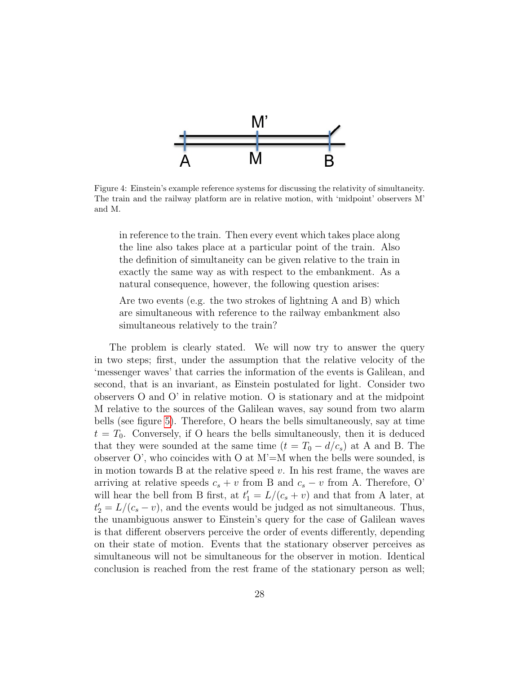

<span id="page-27-0"></span>Figure 4: Einstein's example reference systems for discussing the relativity of simultaneity. The train and the railway platform are in relative motion, with 'midpoint' observers M' and M.

in reference to the train. Then every event which takes place along the line also takes place at a particular point of the train. Also the definition of simultaneity can be given relative to the train in exactly the same way as with respect to the embankment. As a natural consequence, however, the following question arises:

Are two events (e.g. the two strokes of lightning A and B) which are simultaneous with reference to the railway embankment also simultaneous relatively to the train?

The problem is clearly stated. We will now try to answer the query in two steps; first, under the assumption that the relative velocity of the 'messenger waves' that carries the information of the events is Galilean, and second, that is an invariant, as Einstein postulated for light. Consider two observers O and O' in relative motion. O is stationary and at the midpoint M relative to the sources of the Galilean waves, say sound from two alarm bells (see figure [5\)](#page-28-0). Therefore, O hears the bells simultaneously, say at time  $t = T_0$ . Conversely, if O hears the bells simultaneously, then it is deduced that they were sounded at the same time  $(t = T_0 - d/c_s)$  at A and B. The observer  $O'$ , who coincides with  $O$  at  $M' = M$  when the bells were sounded, is in motion towards B at the relative speed  $v$ . In his rest frame, the waves are arriving at relative speeds  $c_s + v$  from B and  $c_s - v$  from A. Therefore, O' will hear the bell from B first, at  $t_1' = L/(c_s + v)$  and that from A later, at  $t_2' = L/(c_s - v)$ , and the events would be judged as not simultaneous. Thus, the unambiguous answer to Einstein's query for the case of Galilean waves is that different observers perceive the order of events differently, depending on their state of motion. Events that the stationary observer perceives as simultaneous will not be simultaneous for the observer in motion. Identical conclusion is reached from the rest frame of the stationary person as well;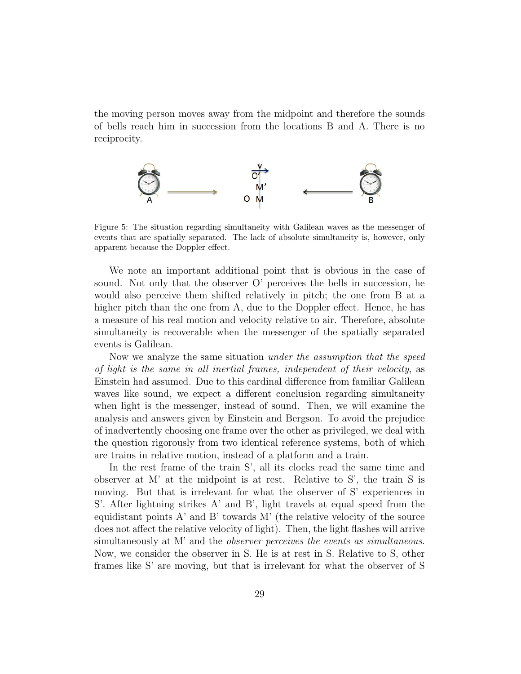the moving person moves away from the midpoint and therefore the sounds of bells reach him in succession from the locations B and A. There is no reciprocity.



<span id="page-28-0"></span>Figure 5: The situation regarding simultaneity with Galilean waves as the messenger of events that are spatially separated. The lack of absolute simultaneity is, however, only apparent because the Doppler effect.

We note an important additional point that is obvious in the case of sound. Not only that the observer O' perceives the bells in succession, he would also perceive them shifted relatively in pitch; the one from B at a higher pitch than the one from A, due to the Doppler effect. Hence, he has a measure of his real motion and velocity relative to air. Therefore, absolute simultaneity is recoverable when the messenger of the spatially separated events is Galilean.

Now we analyze the same situation *under the assumption that the speed* of light is the same in all inertial frames, independent of their velocity, as Einstein had assumed. Due to this cardinal difference from familiar Galilean waves like sound, we expect a different conclusion regarding simultaneity when light is the messenger, instead of sound. Then, we will examine the analysis and answers given by Einstein and Bergson. To avoid the prejudice of inadvertently choosing one frame over the other as privileged, we deal with the question rigorously from two identical reference systems, both of which are trains in relative motion, instead of a platform and a train.

In the rest frame of the train S', all its clocks read the same time and observer at M' at the midpoint is at rest. Relative to S', the train S is moving. But that is irrelevant for what the observer of S' experiences in S'. After lightning strikes A' and B', light travels at equal speed from the equidistant points  $A'$  and  $B'$  towards M' (the relative velocity of the source does not affect the relative velocity of light). Then, the light flashes will arrive simultaneously at M' and the *observer perceives the events as simultaneous*. Now, we consider the observer in S. He is at rest in S. Relative to S, other frames like S' are moving, but that is irrelevant for what the observer of S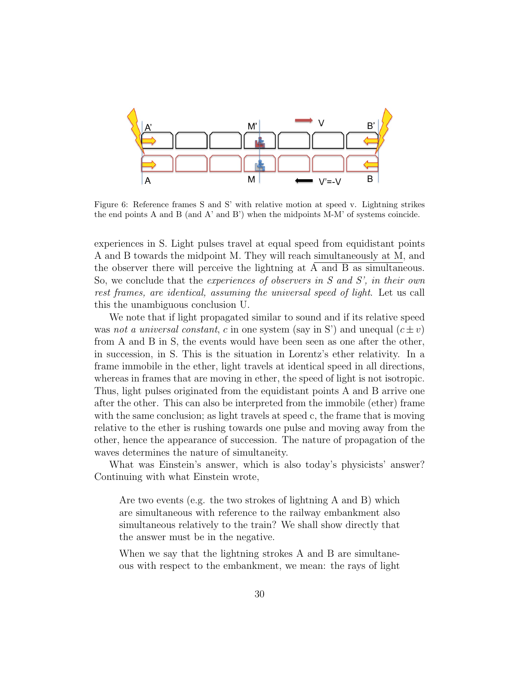

Figure 6: Reference frames S and S' with relative motion at speed v. Lightning strikes the end points A and B (and A' and B') when the midpoints M-M' of systems coincide.

experiences in S. Light pulses travel at equal speed from equidistant points A and B towards the midpoint M. They will reach simultaneously at M, and the observer there will perceive the lightning at A and B as simultaneous. So, we conclude that the *experiences of observers in S and S'*, in their own rest frames, are identical, assuming the universal speed of light. Let us call this the unambiguous conclusion U.

We note that if light propagated similar to sound and if its relative speed was not a universal constant, c in one system (say in S') and unequal  $(c \pm v)$ from A and B in S, the events would have been seen as one after the other, in succession, in S. This is the situation in Lorentz's ether relativity. In a frame immobile in the ether, light travels at identical speed in all directions, whereas in frames that are moving in ether, the speed of light is not isotropic. Thus, light pulses originated from the equidistant points A and B arrive one after the other. This can also be interpreted from the immobile (ether) frame with the same conclusion; as light travels at speed c, the frame that is moving relative to the ether is rushing towards one pulse and moving away from the other, hence the appearance of succession. The nature of propagation of the waves determines the nature of simultaneity.

What was Einstein's answer, which is also today's physicists' answer? Continuing with what Einstein wrote,

Are two events (e.g. the two strokes of lightning A and B) which are simultaneous with reference to the railway embankment also simultaneous relatively to the train? We shall show directly that the answer must be in the negative.

When we say that the lightning strokes A and B are simultaneous with respect to the embankment, we mean: the rays of light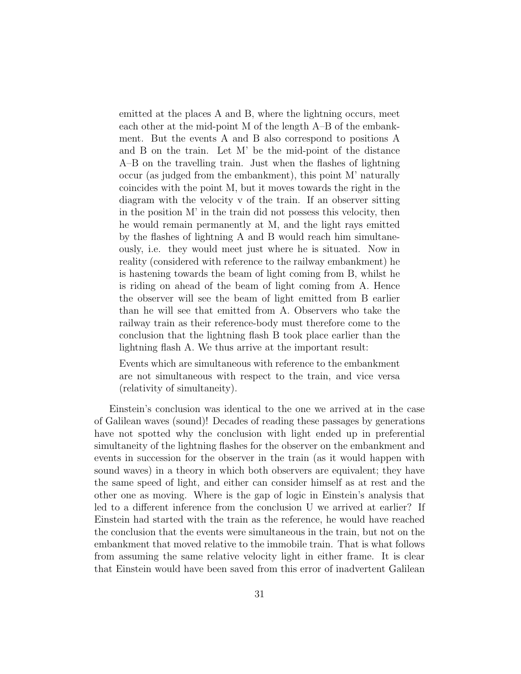emitted at the places A and B, where the lightning occurs, meet each other at the mid-point M of the length A–B of the embankment. But the events A and B also correspond to positions A and B on the train. Let M' be the mid-point of the distance A–B on the travelling train. Just when the flashes of lightning occur (as judged from the embankment), this point M' naturally coincides with the point M, but it moves towards the right in the diagram with the velocity v of the train. If an observer sitting in the position M' in the train did not possess this velocity, then he would remain permanently at M, and the light rays emitted by the flashes of lightning A and B would reach him simultaneously, i.e. they would meet just where he is situated. Now in reality (considered with reference to the railway embankment) he is hastening towards the beam of light coming from B, whilst he is riding on ahead of the beam of light coming from A. Hence the observer will see the beam of light emitted from B earlier than he will see that emitted from A. Observers who take the railway train as their reference-body must therefore come to the conclusion that the lightning flash B took place earlier than the lightning flash A. We thus arrive at the important result:

Events which are simultaneous with reference to the embankment are not simultaneous with respect to the train, and vice versa (relativity of simultaneity).

Einstein's conclusion was identical to the one we arrived at in the case of Galilean waves (sound)! Decades of reading these passages by generations have not spotted why the conclusion with light ended up in preferential simultaneity of the lightning flashes for the observer on the embankment and events in succession for the observer in the train (as it would happen with sound waves) in a theory in which both observers are equivalent; they have the same speed of light, and either can consider himself as at rest and the other one as moving. Where is the gap of logic in Einstein's analysis that led to a different inference from the conclusion U we arrived at earlier? If Einstein had started with the train as the reference, he would have reached the conclusion that the events were simultaneous in the train, but not on the embankment that moved relative to the immobile train. That is what follows from assuming the same relative velocity light in either frame. It is clear that Einstein would have been saved from this error of inadvertent Galilean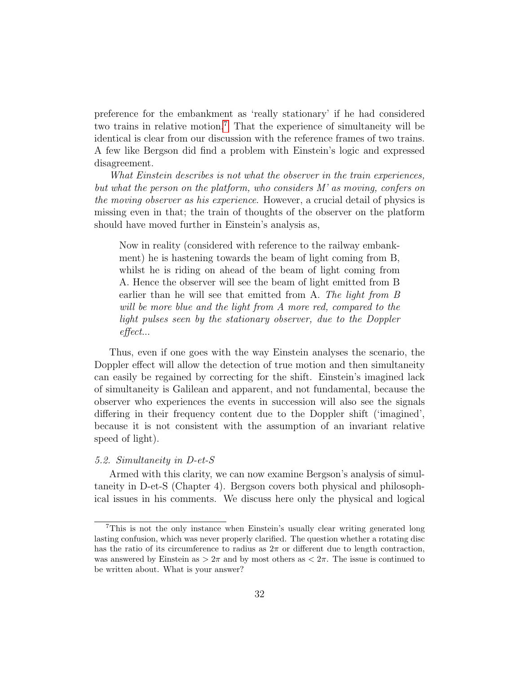preference for the embankment as 'really stationary' if he had considered two trains in relative motion.[7](#page-31-0) That the experience of simultaneity will be identical is clear from our discussion with the reference frames of two trains. A few like Bergson did find a problem with Einstein's logic and expressed disagreement.

What Einstein describes is not what the observer in the train experiences, but what the person on the platform, who considers M' as moving, confers on the moving observer as his experience. However, a crucial detail of physics is missing even in that; the train of thoughts of the observer on the platform should have moved further in Einstein's analysis as,

Now in reality (considered with reference to the railway embankment) he is hastening towards the beam of light coming from B, whilst he is riding on ahead of the beam of light coming from A. Hence the observer will see the beam of light emitted from B earlier than he will see that emitted from A. The light from B will be more blue and the light from A more red, compared to the light pulses seen by the stationary observer, due to the Doppler effect...

Thus, even if one goes with the way Einstein analyses the scenario, the Doppler effect will allow the detection of true motion and then simultaneity can easily be regained by correcting for the shift. Einstein's imagined lack of simultaneity is Galilean and apparent, and not fundamental, because the observer who experiences the events in succession will also see the signals differing in their frequency content due to the Doppler shift ('imagined', because it is not consistent with the assumption of an invariant relative speed of light).

# 5.2. Simultaneity in D-et-S

Armed with this clarity, we can now examine Bergson's analysis of simultaneity in D-et-S (Chapter 4). Bergson covers both physical and philosophical issues in his comments. We discuss here only the physical and logical

<span id="page-31-0"></span><sup>7</sup>This is not the only instance when Einstein's usually clear writing generated long lasting confusion, which was never properly clarified. The question whether a rotating disc has the ratio of its circumference to radius as  $2\pi$  or different due to length contraction, was answered by Einstein as  $> 2\pi$  and by most others as  $< 2\pi$ . The issue is continued to be written about. What is your answer?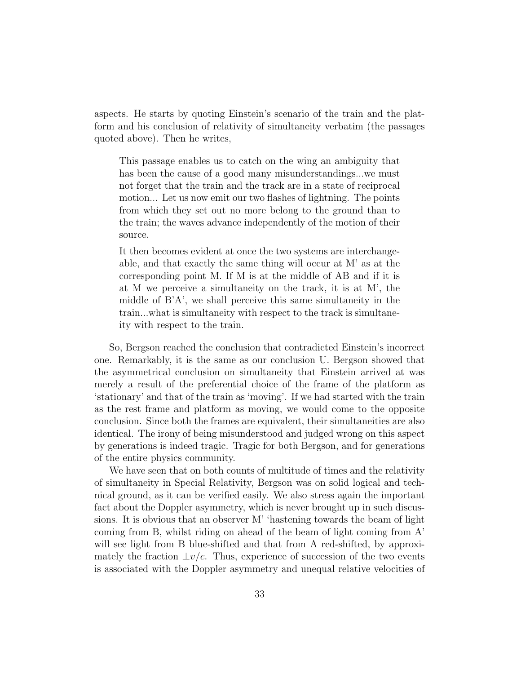aspects. He starts by quoting Einstein's scenario of the train and the platform and his conclusion of relativity of simultaneity verbatim (the passages quoted above). Then he writes,

This passage enables us to catch on the wing an ambiguity that has been the cause of a good many misunderstandings...we must not forget that the train and the track are in a state of reciprocal motion... Let us now emit our two flashes of lightning. The points from which they set out no more belong to the ground than to the train; the waves advance independently of the motion of their source.

It then becomes evident at once the two systems are interchangeable, and that exactly the same thing will occur at M' as at the corresponding point M. If M is at the middle of AB and if it is at M we perceive a simultaneity on the track, it is at M', the middle of B'A', we shall perceive this same simultaneity in the train...what is simultaneity with respect to the track is simultaneity with respect to the train.

So, Bergson reached the conclusion that contradicted Einstein's incorrect one. Remarkably, it is the same as our conclusion U. Bergson showed that the asymmetrical conclusion on simultaneity that Einstein arrived at was merely a result of the preferential choice of the frame of the platform as 'stationary' and that of the train as 'moving'. If we had started with the train as the rest frame and platform as moving, we would come to the opposite conclusion. Since both the frames are equivalent, their simultaneities are also identical. The irony of being misunderstood and judged wrong on this aspect by generations is indeed tragic. Tragic for both Bergson, and for generations of the entire physics community.

We have seen that on both counts of multitude of times and the relativity of simultaneity in Special Relativity, Bergson was on solid logical and technical ground, as it can be verified easily. We also stress again the important fact about the Doppler asymmetry, which is never brought up in such discussions. It is obvious that an observer M' 'hastening towards the beam of light coming from B, whilst riding on ahead of the beam of light coming from A' will see light from B blue-shifted and that from A red-shifted, by approximately the fraction  $\pm v/c$ . Thus, experience of succession of the two events is associated with the Doppler asymmetry and unequal relative velocities of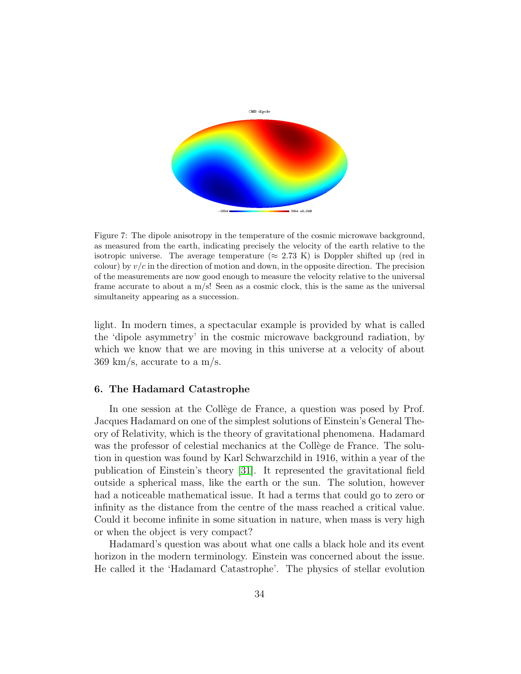

Figure 7: The dipole anisotropy in the temperature of the cosmic microwave background, as measured from the earth, indicating precisely the velocity of the earth relative to the isotropic universe. The average temperature ( $\approx 2.73 \text{ K}$ ) is Doppler shifted up (red in colour) by  $v/c$  in the direction of motion and down, in the opposite direction. The precision of the measurements are now good enough to measure the velocity relative to the universal frame accurate to about a m/s! Seen as a cosmic clock, this is the same as the universal simultaneity appearing as a succession.

light. In modern times, a spectacular example is provided by what is called the 'dipole asymmetry' in the cosmic microwave background radiation, by which we know that we are moving in this universe at a velocity of about 369 km/s, accurate to a m/s.

#### 6. The Hadamard Catastrophe

In one session at the Collège de France, a question was posed by Prof. Jacques Hadamard on one of the simplest solutions of Einstein's General Theory of Relativity, which is the theory of gravitational phenomena. Hadamard was the professor of celestial mechanics at the Collège de France. The solution in question was found by Karl Schwarzchild in 1916, within a year of the publication of Einstein's theory [\[31\]](#page-60-4). It represented the gravitational field outside a spherical mass, like the earth or the sun. The solution, however had a noticeable mathematical issue. It had a terms that could go to zero or infinity as the distance from the centre of the mass reached a critical value. Could it become infinite in some situation in nature, when mass is very high or when the object is very compact?

Hadamard's question was about what one calls a black hole and its event horizon in the modern terminology. Einstein was concerned about the issue. He called it the 'Hadamard Catastrophe'. The physics of stellar evolution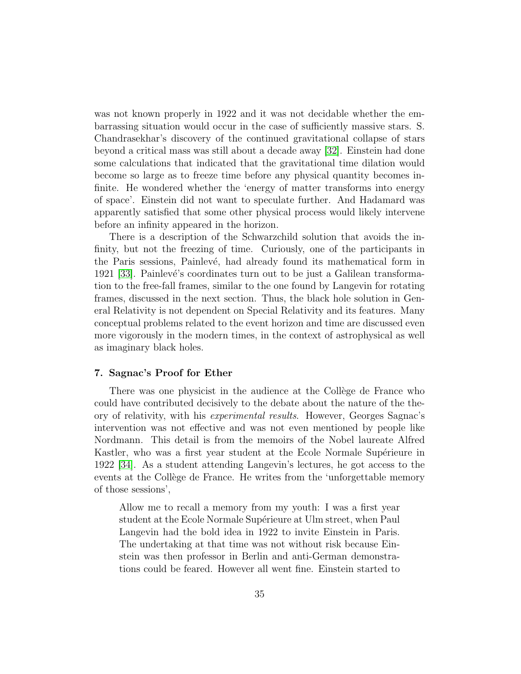was not known properly in 1922 and it was not decidable whether the embarrassing situation would occur in the case of sufficiently massive stars. S. Chandrasekhar's discovery of the continued gravitational collapse of stars beyond a critical mass was still about a decade away [\[32\]](#page-60-5). Einstein had done some calculations that indicated that the gravitational time dilation would become so large as to freeze time before any physical quantity becomes infinite. He wondered whether the 'energy of matter transforms into energy of space'. Einstein did not want to speculate further. And Hadamard was apparently satisfied that some other physical process would likely intervene before an infinity appeared in the horizon.

There is a description of the Schwarzchild solution that avoids the infinity, but not the freezing of time. Curiously, one of the participants in the Paris sessions, Painlevé, had already found its mathematical form in 1921 [\[33\]](#page-60-6). Painlev´e's coordinates turn out to be just a Galilean transformation to the free-fall frames, similar to the one found by Langevin for rotating frames, discussed in the next section. Thus, the black hole solution in General Relativity is not dependent on Special Relativity and its features. Many conceptual problems related to the event horizon and time are discussed even more vigorously in the modern times, in the context of astrophysical as well as imaginary black holes.

#### 7. Sagnac's Proof for Ether

There was one physicist in the audience at the Collège de France who could have contributed decisively to the debate about the nature of the theory of relativity, with his experimental results. However, Georges Sagnac's intervention was not effective and was not even mentioned by people like Nordmann. This detail is from the memoirs of the Nobel laureate Alfred Kastler, who was a first year student at the Ecole Normale Supérieure in 1922 [\[34\]](#page-60-0). As a student attending Langevin's lectures, he got access to the events at the Collège de France. He writes from the 'unforgettable memory of those sessions',

Allow me to recall a memory from my youth: I was a first year student at the Ecole Normale Supérieure at Ulm street, when Paul Langevin had the bold idea in 1922 to invite Einstein in Paris. The undertaking at that time was not without risk because Einstein was then professor in Berlin and anti-German demonstrations could be feared. However all went fine. Einstein started to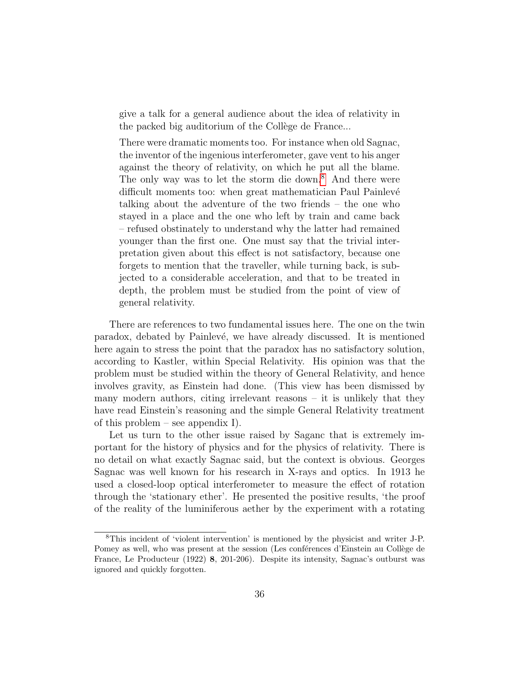give a talk for a general audience about the idea of relativity in the packed big auditorium of the Collège de France...

There were dramatic moments too. For instance when old Sagnac, the inventor of the ingenious interferometer, gave vent to his anger against the theory of relativity, on which he put all the blame. The only way was to let the storm die down.<sup>[8](#page-35-0)</sup> And there were difficult moments too: when great mathematician Paul Painlevé talking about the adventure of the two friends – the one who stayed in a place and the one who left by train and came back – refused obstinately to understand why the latter had remained younger than the first one. One must say that the trivial interpretation given about this effect is not satisfactory, because one forgets to mention that the traveller, while turning back, is subjected to a considerable acceleration, and that to be treated in depth, the problem must be studied from the point of view of general relativity.

There are references to two fundamental issues here. The one on the twin paradox, debated by Painlevé, we have already discussed. It is mentioned here again to stress the point that the paradox has no satisfactory solution, according to Kastler, within Special Relativity. His opinion was that the problem must be studied within the theory of General Relativity, and hence involves gravity, as Einstein had done. (This view has been dismissed by many modern authors, citing irrelevant reasons  $-$  it is unlikely that they have read Einstein's reasoning and the simple General Relativity treatment of this problem – see appendix I).

Let us turn to the other issue raised by Saganc that is extremely important for the history of physics and for the physics of relativity. There is no detail on what exactly Sagnac said, but the context is obvious. Georges Sagnac was well known for his research in X-rays and optics. In 1913 he used a closed-loop optical interferometer to measure the effect of rotation through the 'stationary ether'. He presented the positive results, 'the proof of the reality of the luminiferous aether by the experiment with a rotating

<span id="page-35-0"></span><sup>8</sup>This incident of 'violent intervention' is mentioned by the physicist and writer J-P. Pomey as well, who was present at the session (Les conférences d'Einstein au Collège de France, Le Producteur (1922) 8, 201-206). Despite its intensity, Sagnac's outburst was ignored and quickly forgotten.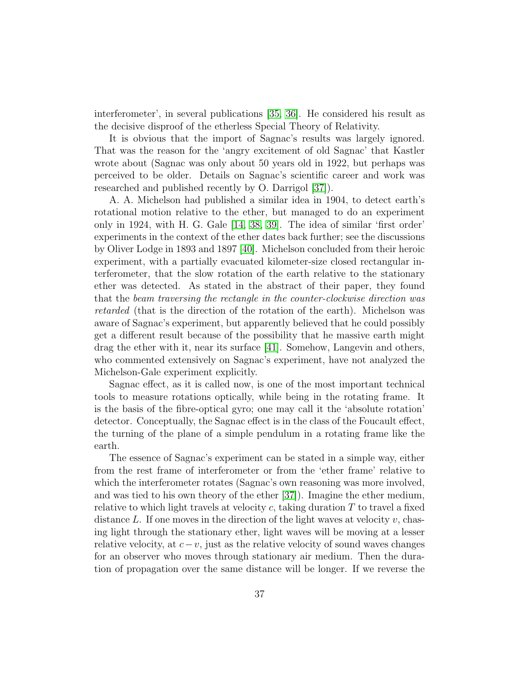interferometer', in several publications [\[35,](#page-60-7) [36\]](#page-60-8). He considered his result as the decisive disproof of the etherless Special Theory of Relativity.

It is obvious that the import of Sagnac's results was largely ignored. That was the reason for the 'angry excitement of old Sagnac' that Kastler wrote about (Sagnac was only about 50 years old in 1922, but perhaps was perceived to be older. Details on Sagnac's scientific career and work was researched and published recently by O. Darrigol [\[37\]](#page-60-9)).

A. A. Michelson had published a similar idea in 1904, to detect earth's rotational motion relative to the ether, but managed to do an experiment only in 1924, with H. G. Gale [\[14,](#page-58-10) [38,](#page-60-10) [39\]](#page-61-0). The idea of similar 'first order' experiments in the context of the ether dates back further; see the discussions by Oliver Lodge in 1893 and 1897 [\[40\]](#page-61-1). Michelson concluded from their heroic experiment, with a partially evacuated kilometer-size closed rectangular interferometer, that the slow rotation of the earth relative to the stationary ether was detected. As stated in the abstract of their paper, they found that the beam traversing the rectangle in the counter-clockwise direction was retarded (that is the direction of the rotation of the earth). Michelson was aware of Sagnac's experiment, but apparently believed that he could possibly get a different result because of the possibility that he massive earth might drag the ether with it, near its surface [\[41\]](#page-61-2). Somehow, Langevin and others, who commented extensively on Sagnac's experiment, have not analyzed the Michelson-Gale experiment explicitly.

Sagnac effect, as it is called now, is one of the most important technical tools to measure rotations optically, while being in the rotating frame. It is the basis of the fibre-optical gyro; one may call it the 'absolute rotation' detector. Conceptually, the Sagnac effect is in the class of the Foucault effect, the turning of the plane of a simple pendulum in a rotating frame like the earth.

The essence of Sagnac's experiment can be stated in a simple way, either from the rest frame of interferometer or from the 'ether frame' relative to which the interferometer rotates (Sagnac's own reasoning was more involved, and was tied to his own theory of the ether [\[37\]](#page-60-9)). Imagine the ether medium, relative to which light travels at velocity c, taking duration  $T$  to travel a fixed distance  $L$ . If one moves in the direction of the light waves at velocity  $v$ , chasing light through the stationary ether, light waves will be moving at a lesser relative velocity, at  $c-v$ , just as the relative velocity of sound waves changes for an observer who moves through stationary air medium. Then the duration of propagation over the same distance will be longer. If we reverse the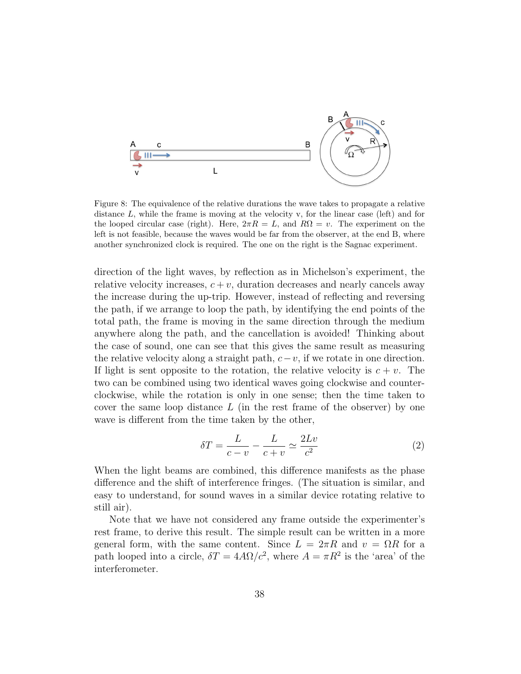

Figure 8: The equivalence of the relative durations the wave takes to propagate a relative distance  $L$ , while the frame is moving at the velocity v, for the linear case (left) and for the looped circular case (right). Here,  $2\pi R = L$ , and  $R\Omega = v$ . The experiment on the left is not feasible, because the waves would be far from the observer, at the end B, where another synchronized clock is required. The one on the right is the Sagnac experiment.

direction of the light waves, by reflection as in Michelson's experiment, the relative velocity increases,  $c + v$ , duration decreases and nearly cancels away the increase during the up-trip. However, instead of reflecting and reversing the path, if we arrange to loop the path, by identifying the end points of the total path, the frame is moving in the same direction through the medium anywhere along the path, and the cancellation is avoided! Thinking about the case of sound, one can see that this gives the same result as measuring the relative velocity along a straight path,  $c-v$ , if we rotate in one direction. If light is sent opposite to the rotation, the relative velocity is  $c + v$ . The two can be combined using two identical waves going clockwise and counterclockwise, while the rotation is only in one sense; then the time taken to cover the same loop distance  $L$  (in the rest frame of the observer) by one wave is different from the time taken by the other,

$$
\delta T = \frac{L}{c - v} - \frac{L}{c + v} \simeq \frac{2Lv}{c^2} \tag{2}
$$

When the light beams are combined, this difference manifests as the phase difference and the shift of interference fringes. (The situation is similar, and easy to understand, for sound waves in a similar device rotating relative to still air).

Note that we have not considered any frame outside the experimenter's rest frame, to derive this result. The simple result can be written in a more general form, with the same content. Since  $L = 2\pi R$  and  $v = \Omega R$  for a path looped into a circle,  $\delta T = 4A\Omega/c^2$ , where  $A = \pi R^2$  is the 'area' of the interferometer.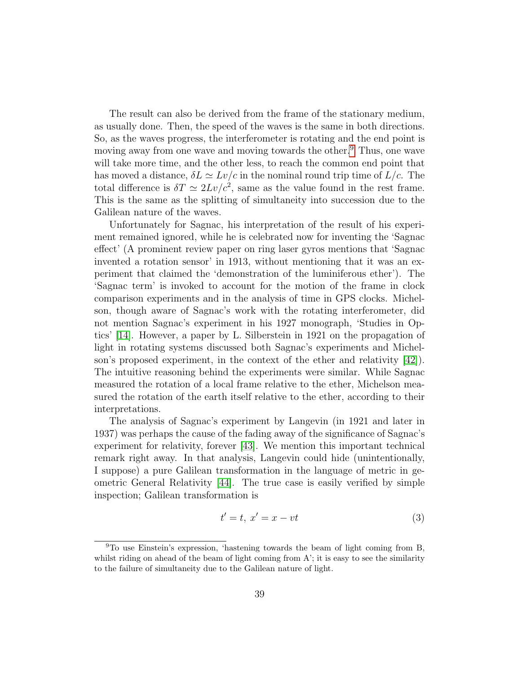The result can also be derived from the frame of the stationary medium, as usually done. Then, the speed of the waves is the same in both directions. So, as the waves progress, the interferometer is rotating and the end point is moving away from one wave and moving towards the other.<sup>[9](#page-38-0)</sup> Thus, one wave will take more time, and the other less, to reach the common end point that has moved a distance,  $\delta L \simeq Lv/c$  in the nominal round trip time of  $L/c$ . The total difference is  $\delta T \simeq 2Lv/c^2$ , same as the value found in the rest frame. This is the same as the splitting of simultaneity into succession due to the Galilean nature of the waves.

Unfortunately for Sagnac, his interpretation of the result of his experiment remained ignored, while he is celebrated now for inventing the 'Sagnac effect' (A prominent review paper on ring laser gyros mentions that 'Sagnac invented a rotation sensor' in 1913, without mentioning that it was an experiment that claimed the 'demonstration of the luminiferous ether'). The 'Sagnac term' is invoked to account for the motion of the frame in clock comparison experiments and in the analysis of time in GPS clocks. Michelson, though aware of Sagnac's work with the rotating interferometer, did not mention Sagnac's experiment in his 1927 monograph, 'Studies in Optics' [\[14\]](#page-58-10). However, a paper by L. Silberstein in 1921 on the propagation of light in rotating systems discussed both Sagnac's experiments and Michelson's proposed experiment, in the context of the ether and relativity [\[42\]](#page-61-3)). The intuitive reasoning behind the experiments were similar. While Sagnac measured the rotation of a local frame relative to the ether, Michelson measured the rotation of the earth itself relative to the ether, according to their interpretations.

The analysis of Sagnac's experiment by Langevin (in 1921 and later in 1937) was perhaps the cause of the fading away of the significance of Sagnac's experiment for relativity, forever [\[43\]](#page-61-4). We mention this important technical remark right away. In that analysis, Langevin could hide (unintentionally, I suppose) a pure Galilean transformation in the language of metric in geometric General Relativity [\[44\]](#page-61-5). The true case is easily verified by simple inspection; Galilean transformation is

$$
t' = t, \ x' = x - vt \tag{3}
$$

<span id="page-38-0"></span><sup>9</sup>To use Einstein's expression, 'hastening towards the beam of light coming from B, whilst riding on ahead of the beam of light coming from A'; it is easy to see the similarity to the failure of simultaneity due to the Galilean nature of light.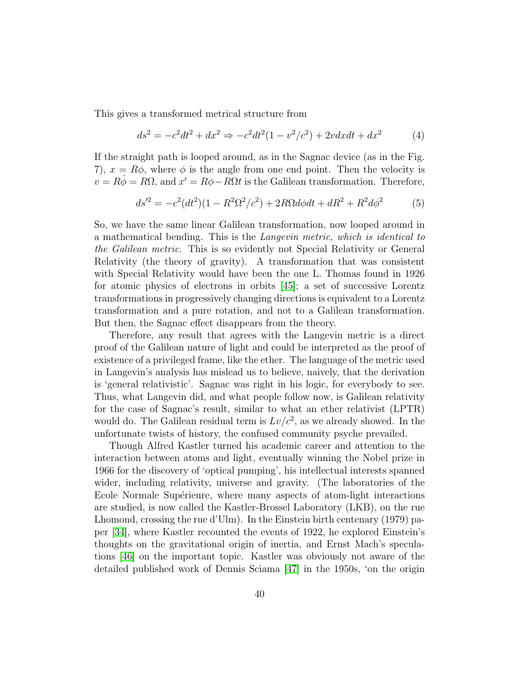This gives a transformed metrical structure from

$$
ds^{2} = -c^{2}dt^{2} + dx^{2} \Rightarrow -c^{2}dt^{2}(1 - v^{2}/c^{2}) + 2vdxdt + dx^{2}
$$
 (4)

If the straight path is looped around, as in the Sagnac device (as in the Fig. 7),  $x = R\phi$ , where  $\phi$  is the angle from one end point. Then the velocity is  $v = R\dot{\phi} = R\Omega$ , and  $x' = R\phi - \overline{R}\Omega t$  is the Galilean transformation. Therefore,

$$
ds'^{2} = -c^{2}(dt^{2})(1 - R^{2}\Omega^{2}/c^{2}) + 2R\Omega d\phi dt + dR^{2} + R^{2}d\phi^{2}
$$
 (5)

So, we have the same linear Galilean transformation, now looped around in a mathematical bending. This is the Langevin metric, which is identical to the Galilean metric. This is so evidently not Special Relativity or General Relativity (the theory of gravity). A transformation that was consistent with Special Relativity would have been the one L. Thomas found in 1926 for atomic physics of electrons in orbits [\[45\]](#page-61-6); a set of successive Lorentz transformations in progressively changing directions is equivalent to a Lorentz transformation and a pure rotation, and not to a Galilean transformation. But then, the Sagnac effect disappears from the theory.

Therefore, any result that agrees with the Langevin metric is a direct proof of the Galilean nature of light and could be interpreted as the proof of existence of a privileged frame, like the ether. The language of the metric used in Langevin's analysis has mislead us to believe, naively, that the derivation is 'general relativistic'. Sagnac was right in his logic, for everybody to see. Thus, what Langevin did, and what people follow now, is Galilean relativity for the case of Sagnac's result, similar to what an ether relativist (LPTR) would do. The Galilean residual term is  $Lv/c^2$ , as we already showed. In the unfortunate twists of history, the confused community psyche prevailed.

Though Alfred Kastler turned his academic career and attention to the interaction between atoms and light, eventually winning the Nobel prize in 1966 for the discovery of 'optical pumping', his intellectual interests spanned wider, including relativity, universe and gravity. (The laboratories of the Ecole Normale Supérieure, where many aspects of atom-light interactions are studied, is now called the Kastler-Brossel Laboratory (LKB), on the rue Lhomond, crossing the rue d'Ulm). In the Einstein birth centenary (1979) paper [\[34\]](#page-60-0), where Kastler recounted the events of 1922, he explored Einstein's thoughts on the gravitational origin of inertia, and Ernst Mach's speculations [\[46\]](#page-61-7) on the important topic. Kastler was obviously not aware of the detailed published work of Dennis Sciama [\[47\]](#page-61-8) in the 1950s, 'on the origin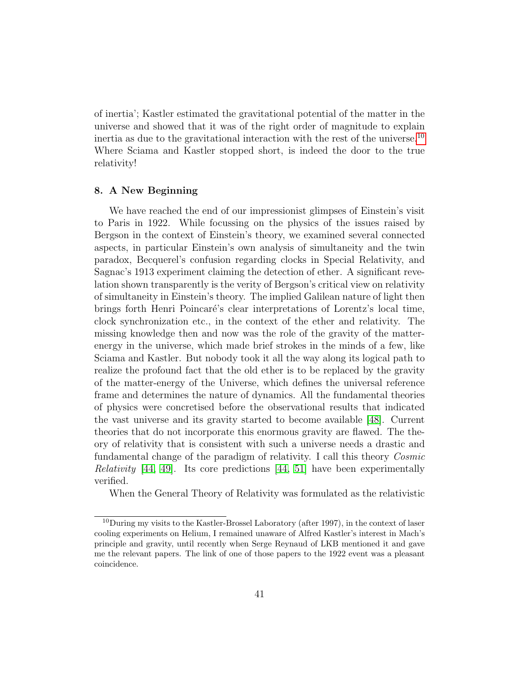of inertia'; Kastler estimated the gravitational potential of the matter in the universe and showed that it was of the right order of magnitude to explain inertia as due to the gravitational interaction with the rest of the universe.<sup>[10](#page-40-0)</sup> Where Sciama and Kastler stopped short, is indeed the door to the true relativity!

# 8. A New Beginning

We have reached the end of our impressionist glimpses of Einstein's visit to Paris in 1922. While focussing on the physics of the issues raised by Bergson in the context of Einstein's theory, we examined several connected aspects, in particular Einstein's own analysis of simultaneity and the twin paradox, Becquerel's confusion regarding clocks in Special Relativity, and Sagnac's 1913 experiment claiming the detection of ether. A significant revelation shown transparently is the verity of Bergson's critical view on relativity of simultaneity in Einstein's theory. The implied Galilean nature of light then brings forth Henri Poincaré's clear interpretations of Lorentz's local time, clock synchronization etc., in the context of the ether and relativity. The missing knowledge then and now was the role of the gravity of the matterenergy in the universe, which made brief strokes in the minds of a few, like Sciama and Kastler. But nobody took it all the way along its logical path to realize the profound fact that the old ether is to be replaced by the gravity of the matter-energy of the Universe, which defines the universal reference frame and determines the nature of dynamics. All the fundamental theories of physics were concretised before the observational results that indicated the vast universe and its gravity started to become available [\[48\]](#page-61-9). Current theories that do not incorporate this enormous gravity are flawed. The theory of relativity that is consistent with such a universe needs a drastic and fundamental change of the paradigm of relativity. I call this theory Cosmic *Relativity* [\[44,](#page-61-5) [49\]](#page-61-10). Its core predictions [44, [51\]](#page-62-0) have been experimentally verified.

When the General Theory of Relativity was formulated as the relativistic

<span id="page-40-0"></span><sup>&</sup>lt;sup>10</sup>During my visits to the Kastler-Brossel Laboratory (after 1997), in the context of laser cooling experiments on Helium, I remained unaware of Alfred Kastler's interest in Mach's principle and gravity, until recently when Serge Reynaud of LKB mentioned it and gave me the relevant papers. The link of one of those papers to the 1922 event was a pleasant coincidence.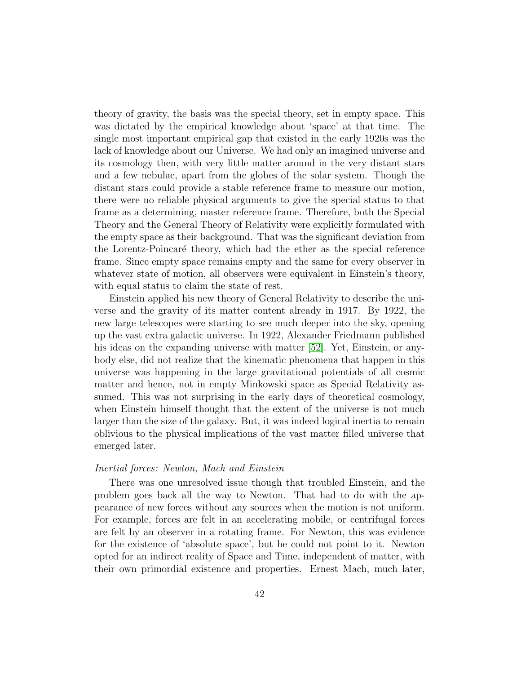theory of gravity, the basis was the special theory, set in empty space. This was dictated by the empirical knowledge about 'space' at that time. The single most important empirical gap that existed in the early 1920s was the lack of knowledge about our Universe. We had only an imagined universe and its cosmology then, with very little matter around in the very distant stars and a few nebulae, apart from the globes of the solar system. Though the distant stars could provide a stable reference frame to measure our motion, there were no reliable physical arguments to give the special status to that frame as a determining, master reference frame. Therefore, both the Special Theory and the General Theory of Relativity were explicitly formulated with the empty space as their background. That was the significant deviation from the Lorentz-Poincaré theory, which had the ether as the special reference frame. Since empty space remains empty and the same for every observer in whatever state of motion, all observers were equivalent in Einstein's theory, with equal status to claim the state of rest.

Einstein applied his new theory of General Relativity to describe the universe and the gravity of its matter content already in 1917. By 1922, the new large telescopes were starting to see much deeper into the sky, opening up the vast extra galactic universe. In 1922, Alexander Friedmann published his ideas on the expanding universe with matter [\[52\]](#page-62-1). Yet, Einstein, or anybody else, did not realize that the kinematic phenomena that happen in this universe was happening in the large gravitational potentials of all cosmic matter and hence, not in empty Minkowski space as Special Relativity assumed. This was not surprising in the early days of theoretical cosmology, when Einstein himself thought that the extent of the universe is not much larger than the size of the galaxy. But, it was indeed logical inertia to remain oblivious to the physical implications of the vast matter filled universe that emerged later.

#### Inertial forces: Newton, Mach and Einstein

There was one unresolved issue though that troubled Einstein, and the problem goes back all the way to Newton. That had to do with the appearance of new forces without any sources when the motion is not uniform. For example, forces are felt in an accelerating mobile, or centrifugal forces are felt by an observer in a rotating frame. For Newton, this was evidence for the existence of 'absolute space', but he could not point to it. Newton opted for an indirect reality of Space and Time, independent of matter, with their own primordial existence and properties. Ernest Mach, much later,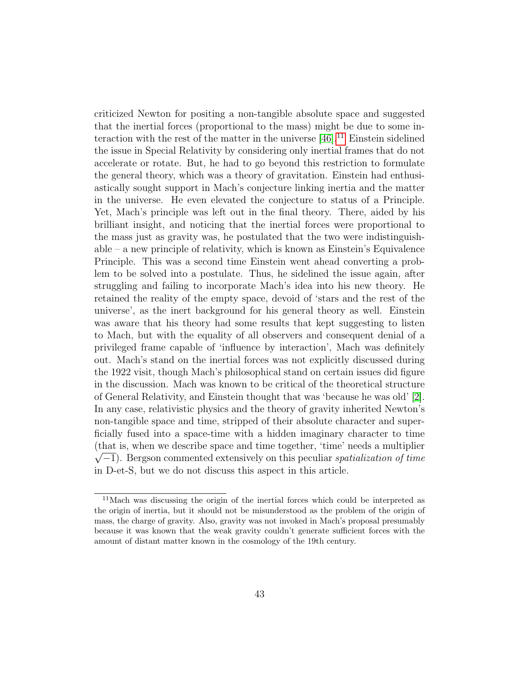criticized Newton for positing a non-tangible absolute space and suggested that the inertial forces (proportional to the mass) might be due to some interaction with the rest of the matter in the universe  $[46]$ .<sup>[11](#page-42-0)</sup> Einstein sidelined the issue in Special Relativity by considering only inertial frames that do not accelerate or rotate. But, he had to go beyond this restriction to formulate the general theory, which was a theory of gravitation. Einstein had enthusiastically sought support in Mach's conjecture linking inertia and the matter in the universe. He even elevated the conjecture to status of a Principle. Yet, Mach's principle was left out in the final theory. There, aided by his brilliant insight, and noticing that the inertial forces were proportional to the mass just as gravity was, he postulated that the two were indistinguishable – a new principle of relativity, which is known as Einstein's Equivalence Principle. This was a second time Einstein went ahead converting a problem to be solved into a postulate. Thus, he sidelined the issue again, after struggling and failing to incorporate Mach's idea into his new theory. He retained the reality of the empty space, devoid of 'stars and the rest of the universe', as the inert background for his general theory as well. Einstein was aware that his theory had some results that kept suggesting to listen to Mach, but with the equality of all observers and consequent denial of a privileged frame capable of 'influence by interaction', Mach was definitely out. Mach's stand on the inertial forces was not explicitly discussed during the 1922 visit, though Mach's philosophical stand on certain issues did figure in the discussion. Mach was known to be critical of the theoretical structure of General Relativity, and Einstein thought that was 'because he was old' [\[2\]](#page-57-1). In any case, relativistic physics and the theory of gravity inherited Newton's non-tangible space and time, stripped of their absolute character and superficially fused into a space-time with a hidden imaginary character to time (that is, when we describe space and time together, 'time' needs a multiplier  $\sqrt{-1}$ . Bergson commented extensively on this peculiar *spatialization of time* in D-et-S, but we do not discuss this aspect in this article.

<span id="page-42-0"></span><sup>&</sup>lt;sup>11</sup>Mach was discussing the origin of the inertial forces which could be interpreted as the origin of inertia, but it should not be misunderstood as the problem of the origin of mass, the charge of gravity. Also, gravity was not invoked in Mach's proposal presumably because it was known that the weak gravity couldn't generate sufficient forces with the amount of distant matter known in the cosmology of the 19th century.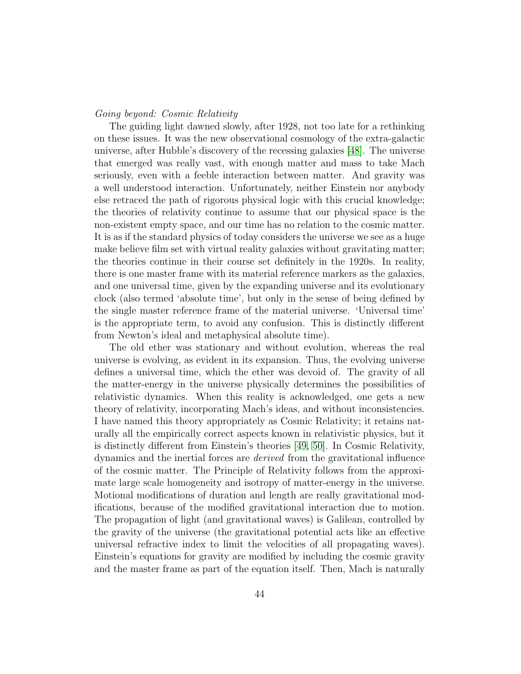# Going beyond: Cosmic Relativity

The guiding light dawned slowly, after 1928, not too late for a rethinking on these issues. It was the new observational cosmology of the extra-galactic universe, after Hubble's discovery of the recessing galaxies [\[48\]](#page-61-9). The universe that emerged was really vast, with enough matter and mass to take Mach seriously, even with a feeble interaction between matter. And gravity was a well understood interaction. Unfortunately, neither Einstein nor anybody else retraced the path of rigorous physical logic with this crucial knowledge; the theories of relativity continue to assume that our physical space is the non-existent empty space, and our time has no relation to the cosmic matter. It is as if the standard physics of today considers the universe we see as a huge make believe film set with virtual reality galaxies without gravitating matter; the theories continue in their course set definitely in the 1920s. In reality, there is one master frame with its material reference markers as the galaxies, and one universal time, given by the expanding universe and its evolutionary clock (also termed 'absolute time', but only in the sense of being defined by the single master reference frame of the material universe. 'Universal time' is the appropriate term, to avoid any confusion. This is distinctly different from Newton's ideal and metaphysical absolute time).

The old ether was stationary and without evolution, whereas the real universe is evolving, as evident in its expansion. Thus, the evolving universe defines a universal time, which the ether was devoid of. The gravity of all the matter-energy in the universe physically determines the possibilities of relativistic dynamics. When this reality is acknowledged, one gets a new theory of relativity, incorporating Mach's ideas, and without inconsistencies. I have named this theory appropriately as Cosmic Relativity; it retains naturally all the empirically correct aspects known in relativistic physics, but it is distinctly different from Einstein's theories [\[49,](#page-61-10) [50\]](#page-62-2). In Cosmic Relativity, dynamics and the inertial forces are derived from the gravitational influence of the cosmic matter. The Principle of Relativity follows from the approximate large scale homogeneity and isotropy of matter-energy in the universe. Motional modifications of duration and length are really gravitational modifications, because of the modified gravitational interaction due to motion. The propagation of light (and gravitational waves) is Galilean, controlled by the gravity of the universe (the gravitational potential acts like an effective universal refractive index to limit the velocities of all propagating waves). Einstein's equations for gravity are modified by including the cosmic gravity and the master frame as part of the equation itself. Then, Mach is naturally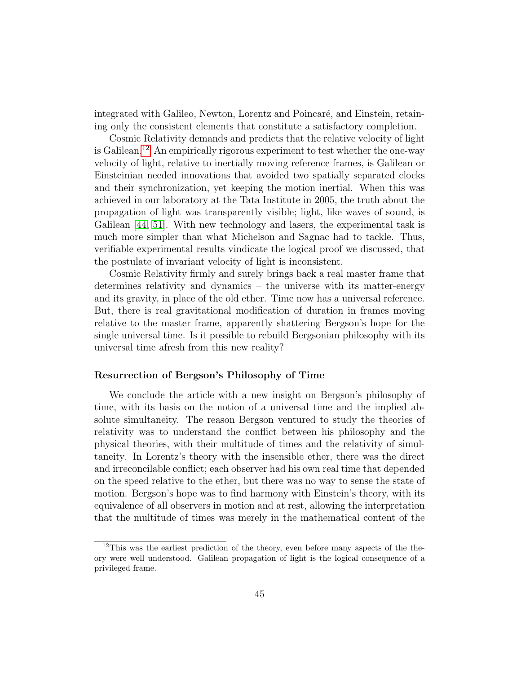integrated with Galileo, Newton, Lorentz and Poincaré, and Einstein, retaining only the consistent elements that constitute a satisfactory completion.

Cosmic Relativity demands and predicts that the relative velocity of light is Galilean.<sup>[12](#page-44-0)</sup> An empirically rigorous experiment to test whether the one-way velocity of light, relative to inertially moving reference frames, is Galilean or Einsteinian needed innovations that avoided two spatially separated clocks and their synchronization, yet keeping the motion inertial. When this was achieved in our laboratory at the Tata Institute in 2005, the truth about the propagation of light was transparently visible; light, like waves of sound, is Galilean [\[44,](#page-61-5) [51\]](#page-62-0). With new technology and lasers, the experimental task is much more simpler than what Michelson and Sagnac had to tackle. Thus, verifiable experimental results vindicate the logical proof we discussed, that the postulate of invariant velocity of light is inconsistent.

Cosmic Relativity firmly and surely brings back a real master frame that determines relativity and dynamics – the universe with its matter-energy and its gravity, in place of the old ether. Time now has a universal reference. But, there is real gravitational modification of duration in frames moving relative to the master frame, apparently shattering Bergson's hope for the single universal time. Is it possible to rebuild Bergsonian philosophy with its universal time afresh from this new reality?

# Resurrection of Bergson's Philosophy of Time

We conclude the article with a new insight on Bergson's philosophy of time, with its basis on the notion of a universal time and the implied absolute simultaneity. The reason Bergson ventured to study the theories of relativity was to understand the conflict between his philosophy and the physical theories, with their multitude of times and the relativity of simultaneity. In Lorentz's theory with the insensible ether, there was the direct and irreconcilable conflict; each observer had his own real time that depended on the speed relative to the ether, but there was no way to sense the state of motion. Bergson's hope was to find harmony with Einstein's theory, with its equivalence of all observers in motion and at rest, allowing the interpretation that the multitude of times was merely in the mathematical content of the

<span id="page-44-0"></span> $12$ This was the earliest prediction of the theory, even before many aspects of the theory were well understood. Galilean propagation of light is the logical consequence of a privileged frame.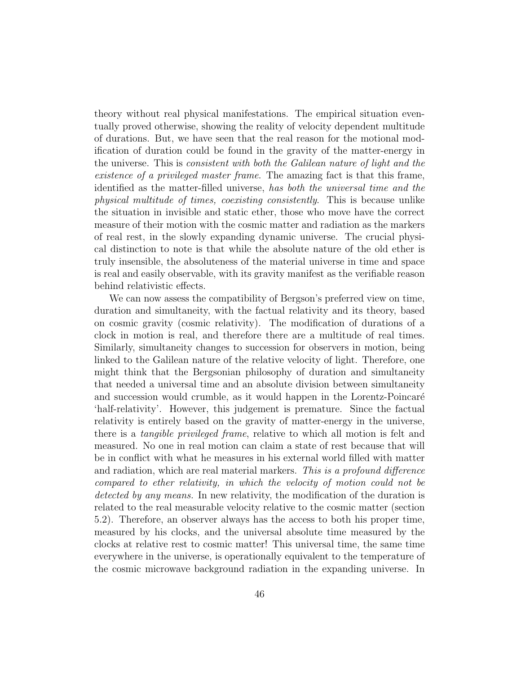theory without real physical manifestations. The empirical situation eventually proved otherwise, showing the reality of velocity dependent multitude of durations. But, we have seen that the real reason for the motional modification of duration could be found in the gravity of the matter-energy in the universe. This is consistent with both the Galilean nature of light and the existence of a privileged master frame. The amazing fact is that this frame, identified as the matter-filled universe, has both the universal time and the physical multitude of times, coexisting consistently. This is because unlike the situation in invisible and static ether, those who move have the correct measure of their motion with the cosmic matter and radiation as the markers of real rest, in the slowly expanding dynamic universe. The crucial physical distinction to note is that while the absolute nature of the old ether is truly insensible, the absoluteness of the material universe in time and space is real and easily observable, with its gravity manifest as the verifiable reason behind relativistic effects.

We can now assess the compatibility of Bergson's preferred view on time, duration and simultaneity, with the factual relativity and its theory, based on cosmic gravity (cosmic relativity). The modification of durations of a clock in motion is real, and therefore there are a multitude of real times. Similarly, simultaneity changes to succession for observers in motion, being linked to the Galilean nature of the relative velocity of light. Therefore, one might think that the Bergsonian philosophy of duration and simultaneity that needed a universal time and an absolute division between simultaneity and succession would crumble, as it would happen in the Lorentz-Poincaré 'half-relativity'. However, this judgement is premature. Since the factual relativity is entirely based on the gravity of matter-energy in the universe, there is a tangible privileged frame, relative to which all motion is felt and measured. No one in real motion can claim a state of rest because that will be in conflict with what he measures in his external world filled with matter and radiation, which are real material markers. This is a profound difference compared to ether relativity, in which the velocity of motion could not be detected by any means. In new relativity, the modification of the duration is related to the real measurable velocity relative to the cosmic matter (section 5.2). Therefore, an observer always has the access to both his proper time, measured by his clocks, and the universal absolute time measured by the clocks at relative rest to cosmic matter! This universal time, the same time everywhere in the universe, is operationally equivalent to the temperature of the cosmic microwave background radiation in the expanding universe. In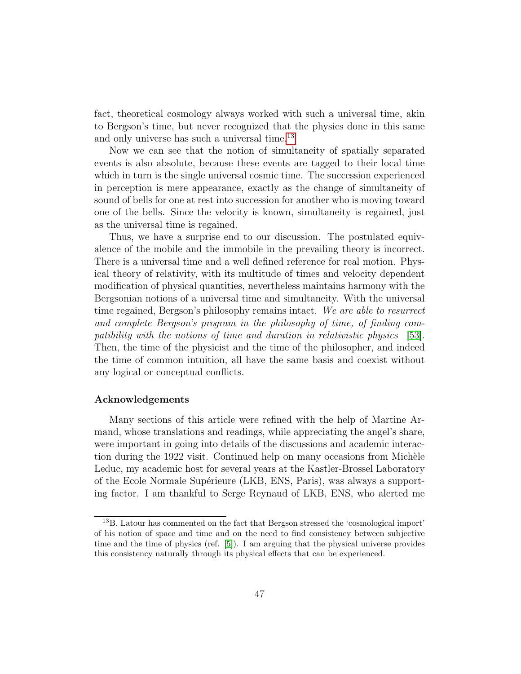fact, theoretical cosmology always worked with such a universal time, akin to Bergson's time, but never recognized that the physics done in this same and only universe has such a universal time.<sup>[13](#page-46-0)</sup>

Now we can see that the notion of simultaneity of spatially separated events is also absolute, because these events are tagged to their local time which in turn is the single universal cosmic time. The succession experienced in perception is mere appearance, exactly as the change of simultaneity of sound of bells for one at rest into succession for another who is moving toward one of the bells. Since the velocity is known, simultaneity is regained, just as the universal time is regained.

Thus, we have a surprise end to our discussion. The postulated equivalence of the mobile and the immobile in the prevailing theory is incorrect. There is a universal time and a well defined reference for real motion. Physical theory of relativity, with its multitude of times and velocity dependent modification of physical quantities, nevertheless maintains harmony with the Bergsonian notions of a universal time and simultaneity. With the universal time regained, Bergson's philosophy remains intact. We are able to resurrect and complete Bergson's program in the philosophy of time, of finding compatibility with the notions of time and duration in relativistic physics [\[53\]](#page-62-3). Then, the time of the physicist and the time of the philosopher, and indeed the time of common intuition, all have the same basis and coexist without any logical or conceptual conflicts.

#### Acknowledgements

Many sections of this article were refined with the help of Martine Armand, whose translations and readings, while appreciating the angel's share, were important in going into details of the discussions and academic interaction during the 1922 visit. Continued help on many occasions from Michèle Leduc, my academic host for several years at the Kastler-Brossel Laboratory of the Ecole Normale Supérieure (LKB, ENS, Paris), was always a supporting factor. I am thankful to Serge Reynaud of LKB, ENS, who alerted me

<span id="page-46-0"></span><sup>13</sup>B. Latour has commented on the fact that Bergson stressed the 'cosmological import' of his notion of space and time and on the need to find consistency between subjective time and the time of physics (ref. [\[5\]](#page-58-1)). I am arguing that the physical universe provides this consistency naturally through its physical effects that can be experienced.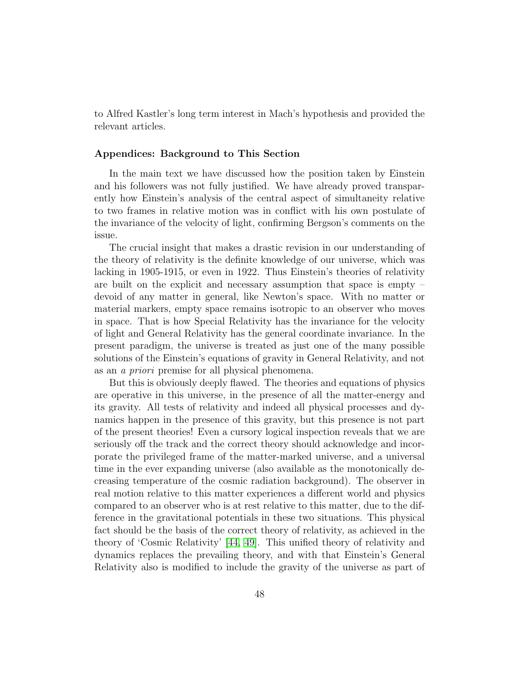to Alfred Kastler's long term interest in Mach's hypothesis and provided the relevant articles.

# Appendices: Background to This Section

In the main text we have discussed how the position taken by Einstein and his followers was not fully justified. We have already proved transparently how Einstein's analysis of the central aspect of simultaneity relative to two frames in relative motion was in conflict with his own postulate of the invariance of the velocity of light, confirming Bergson's comments on the issue.

The crucial insight that makes a drastic revision in our understanding of the theory of relativity is the definite knowledge of our universe, which was lacking in 1905-1915, or even in 1922. Thus Einstein's theories of relativity are built on the explicit and necessary assumption that space is empty – devoid of any matter in general, like Newton's space. With no matter or material markers, empty space remains isotropic to an observer who moves in space. That is how Special Relativity has the invariance for the velocity of light and General Relativity has the general coordinate invariance. In the present paradigm, the universe is treated as just one of the many possible solutions of the Einstein's equations of gravity in General Relativity, and not as an a priori premise for all physical phenomena.

But this is obviously deeply flawed. The theories and equations of physics are operative in this universe, in the presence of all the matter-energy and its gravity. All tests of relativity and indeed all physical processes and dynamics happen in the presence of this gravity, but this presence is not part of the present theories! Even a cursory logical inspection reveals that we are seriously off the track and the correct theory should acknowledge and incorporate the privileged frame of the matter-marked universe, and a universal time in the ever expanding universe (also available as the monotonically decreasing temperature of the cosmic radiation background). The observer in real motion relative to this matter experiences a different world and physics compared to an observer who is at rest relative to this matter, due to the difference in the gravitational potentials in these two situations. This physical fact should be the basis of the correct theory of relativity, as achieved in the theory of 'Cosmic Relativity' [\[44,](#page-61-5) [49\]](#page-61-10). This unified theory of relativity and dynamics replaces the prevailing theory, and with that Einstein's General Relativity also is modified to include the gravity of the universe as part of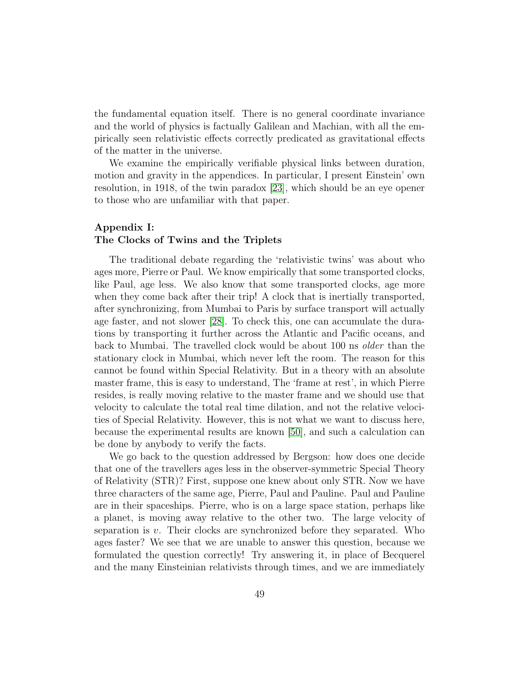the fundamental equation itself. There is no general coordinate invariance and the world of physics is factually Galilean and Machian, with all the empirically seen relativistic effects correctly predicated as gravitational effects of the matter in the universe.

We examine the empirically verifiable physical links between duration, motion and gravity in the appendices. In particular, I present Einstein' own resolution, in 1918, of the twin paradox [\[23\]](#page-59-7), which should be an eye opener to those who are unfamiliar with that paper.

# Appendix I: The Clocks of Twins and the Triplets

The traditional debate regarding the 'relativistic twins' was about who ages more, Pierre or Paul. We know empirically that some transported clocks, like Paul, age less. We also know that some transported clocks, age more when they come back after their trip! A clock that is inertially transported, after synchronizing, from Mumbai to Paris by surface transport will actually age faster, and not slower [\[28\]](#page-60-1). To check this, one can accumulate the durations by transporting it further across the Atlantic and Pacific oceans, and back to Mumbai. The travelled clock would be about 100 ns older than the stationary clock in Mumbai, which never left the room. The reason for this cannot be found within Special Relativity. But in a theory with an absolute master frame, this is easy to understand, The 'frame at rest', in which Pierre resides, is really moving relative to the master frame and we should use that velocity to calculate the total real time dilation, and not the relative velocities of Special Relativity. However, this is not what we want to discuss here, because the experimental results are known [\[50\]](#page-62-2), and such a calculation can be done by anybody to verify the facts.

We go back to the question addressed by Bergson: how does one decide that one of the travellers ages less in the observer-symmetric Special Theory of Relativity (STR)? First, suppose one knew about only STR. Now we have three characters of the same age, Pierre, Paul and Pauline. Paul and Pauline are in their spaceships. Pierre, who is on a large space station, perhaps like a planet, is moving away relative to the other two. The large velocity of separation is v. Their clocks are synchronized before they separated. Who ages faster? We see that we are unable to answer this question, because we formulated the question correctly! Try answering it, in place of Becquerel and the many Einsteinian relativists through times, and we are immediately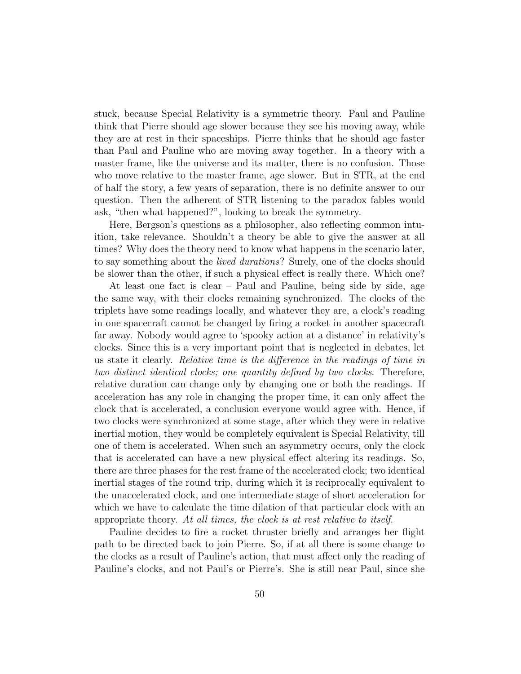stuck, because Special Relativity is a symmetric theory. Paul and Pauline think that Pierre should age slower because they see his moving away, while they are at rest in their spaceships. Pierre thinks that he should age faster than Paul and Pauline who are moving away together. In a theory with a master frame, like the universe and its matter, there is no confusion. Those who move relative to the master frame, age slower. But in STR, at the end of half the story, a few years of separation, there is no definite answer to our question. Then the adherent of STR listening to the paradox fables would ask, "then what happened?", looking to break the symmetry.

Here, Bergson's questions as a philosopher, also reflecting common intuition, take relevance. Shouldn't a theory be able to give the answer at all times? Why does the theory need to know what happens in the scenario later, to say something about the lived durations? Surely, one of the clocks should be slower than the other, if such a physical effect is really there. Which one?

At least one fact is clear – Paul and Pauline, being side by side, age the same way, with their clocks remaining synchronized. The clocks of the triplets have some readings locally, and whatever they are, a clock's reading in one spacecraft cannot be changed by firing a rocket in another spacecraft far away. Nobody would agree to 'spooky action at a distance' in relativity's clocks. Since this is a very important point that is neglected in debates, let us state it clearly. Relative time is the difference in the readings of time in two distinct identical clocks; one quantity defined by two clocks. Therefore, relative duration can change only by changing one or both the readings. If acceleration has any role in changing the proper time, it can only affect the clock that is accelerated, a conclusion everyone would agree with. Hence, if two clocks were synchronized at some stage, after which they were in relative inertial motion, they would be completely equivalent is Special Relativity, till one of them is accelerated. When such an asymmetry occurs, only the clock that is accelerated can have a new physical effect altering its readings. So, there are three phases for the rest frame of the accelerated clock; two identical inertial stages of the round trip, during which it is reciprocally equivalent to the unaccelerated clock, and one intermediate stage of short acceleration for which we have to calculate the time dilation of that particular clock with an appropriate theory. At all times, the clock is at rest relative to itself.

Pauline decides to fire a rocket thruster briefly and arranges her flight path to be directed back to join Pierre. So, if at all there is some change to the clocks as a result of Pauline's action, that must affect only the reading of Pauline's clocks, and not Paul's or Pierre's. She is still near Paul, since she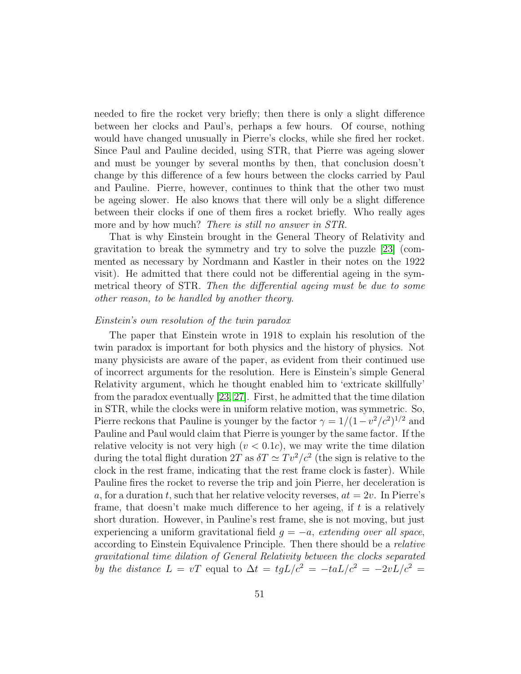needed to fire the rocket very briefly; then there is only a slight difference between her clocks and Paul's, perhaps a few hours. Of course, nothing would have changed unusually in Pierre's clocks, while she fired her rocket. Since Paul and Pauline decided, using STR, that Pierre was ageing slower and must be younger by several months by then, that conclusion doesn't change by this difference of a few hours between the clocks carried by Paul and Pauline. Pierre, however, continues to think that the other two must be ageing slower. He also knows that there will only be a slight difference between their clocks if one of them fires a rocket briefly. Who really ages more and by how much? *There is still no answer in STR*.

That is why Einstein brought in the General Theory of Relativity and gravitation to break the symmetry and try to solve the puzzle [\[23\]](#page-59-7) (commented as necessary by Nordmann and Kastler in their notes on the 1922 visit). He admitted that there could not be differential ageing in the symmetrical theory of STR. Then the differential ageing must be due to some other reason, to be handled by another theory.

## Einstein's own resolution of the twin paradox

The paper that Einstein wrote in 1918 to explain his resolution of the twin paradox is important for both physics and the history of physics. Not many physicists are aware of the paper, as evident from their continued use of incorrect arguments for the resolution. Here is Einstein's simple General Relativity argument, which he thought enabled him to 'extricate skillfully' from the paradox eventually [\[23,](#page-59-7) [27\]](#page-59-11). First, he admitted that the time dilation in STR, while the clocks were in uniform relative motion, was symmetric. So, Pierre reckons that Pauline is younger by the factor  $\gamma = 1/(1 - v^2/c^2)^{1/2}$  and Pauline and Paul would claim that Pierre is younger by the same factor. If the relative velocity is not very high  $(v < 0.1c)$ , we may write the time dilation during the total flight duration  $2T$  as  $\delta T \simeq Tv^2/c^2$  (the sign is relative to the clock in the rest frame, indicating that the rest frame clock is faster). While Pauline fires the rocket to reverse the trip and join Pierre, her deceleration is a, for a duration t, such that her relative velocity reverses,  $at = 2v$ . In Pierre's frame, that doesn't make much difference to her ageing, if  $t$  is a relatively short duration. However, in Pauline's rest frame, she is not moving, but just experiencing a uniform gravitational field  $g = -a$ , extending over all space, according to Einstein Equivalence Principle. Then there should be a relative gravitational time dilation of General Relativity between the clocks separated by the distance  $L = vT$  equal to  $\Delta t = tgL/c^2 = -taL/c^2 = -2vL/c^2$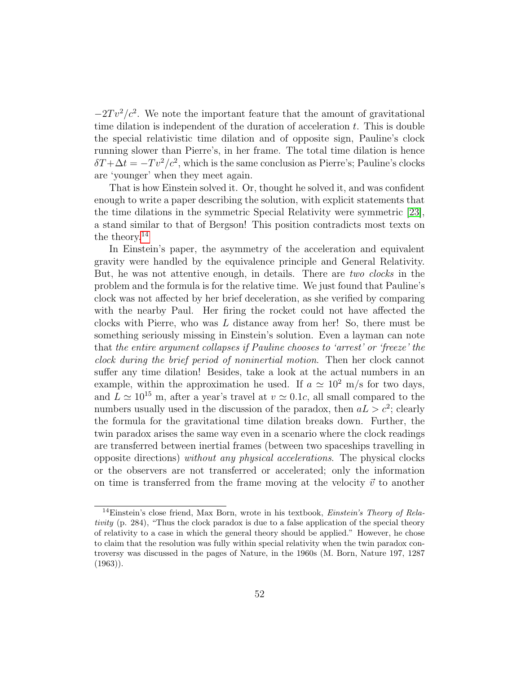$-2Tv^2/c^2$ . We note the important feature that the amount of gravitational time dilation is independent of the duration of acceleration  $t$ . This is double the special relativistic time dilation and of opposite sign, Pauline's clock running slower than Pierre's, in her frame. The total time dilation is hence  $\delta T + \Delta t = -T v^2/c^2$ , which is the same conclusion as Pierre's; Pauline's clocks are 'younger' when they meet again.

That is how Einstein solved it. Or, thought he solved it, and was confident enough to write a paper describing the solution, with explicit statements that the time dilations in the symmetric Special Relativity were symmetric [\[23\]](#page-59-7), a stand similar to that of Bergson! This position contradicts most texts on the theory.<sup>[14](#page-51-0)</sup>

In Einstein's paper, the asymmetry of the acceleration and equivalent gravity were handled by the equivalence principle and General Relativity. But, he was not attentive enough, in details. There are two clocks in the problem and the formula is for the relative time. We just found that Pauline's clock was not affected by her brief deceleration, as she verified by comparing with the nearby Paul. Her firing the rocket could not have affected the clocks with Pierre, who was L distance away from her! So, there must be something seriously missing in Einstein's solution. Even a layman can note that the entire argument collapses if Pauline chooses to 'arrest' or 'freeze' the clock during the brief period of noninertial motion. Then her clock cannot suffer any time dilation! Besides, take a look at the actual numbers in an example, within the approximation he used. If  $a \approx 10^2$  m/s for two days, and  $L \simeq 10^{15}$  m, after a year's travel at  $v \simeq 0.1c$ , all small compared to the numbers usually used in the discussion of the paradox, then  $aL > c^2$ ; clearly the formula for the gravitational time dilation breaks down. Further, the twin paradox arises the same way even in a scenario where the clock readings are transferred between inertial frames (between two spaceships travelling in opposite directions) without any physical accelerations. The physical clocks or the observers are not transferred or accelerated; only the information on time is transferred from the frame moving at the velocity  $\vec{v}$  to another

<span id="page-51-0"></span><sup>&</sup>lt;sup>14</sup>Einstein's close friend, Max Born, wrote in his textbook, *Einstein's Theory of Rela*tivity (p. 284), "Thus the clock paradox is due to a false application of the special theory of relativity to a case in which the general theory should be applied." However, he chose to claim that the resolution was fully within special relativity when the twin paradox controversy was discussed in the pages of Nature, in the 1960s (M. Born, Nature 197, 1287  $(1963)$ .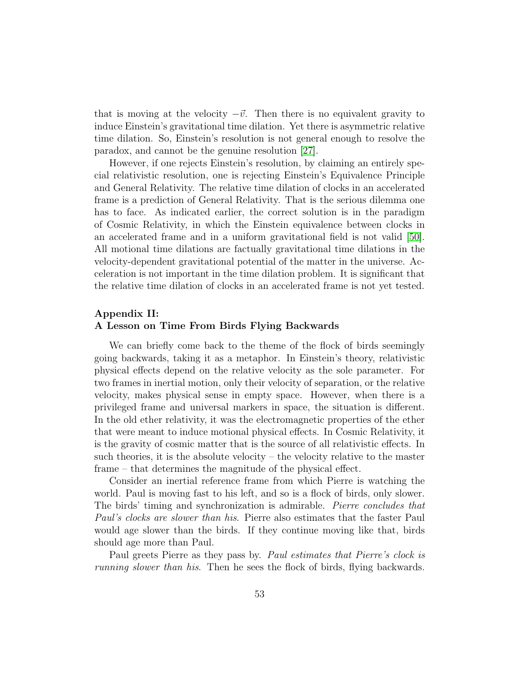that is moving at the velocity  $-\vec{v}$ . Then there is no equivalent gravity to induce Einstein's gravitational time dilation. Yet there is asymmetric relative time dilation. So, Einstein's resolution is not general enough to resolve the paradox, and cannot be the genuine resolution [\[27\]](#page-59-11).

However, if one rejects Einstein's resolution, by claiming an entirely special relativistic resolution, one is rejecting Einstein's Equivalence Principle and General Relativity. The relative time dilation of clocks in an accelerated frame is a prediction of General Relativity. That is the serious dilemma one has to face. As indicated earlier, the correct solution is in the paradigm of Cosmic Relativity, in which the Einstein equivalence between clocks in an accelerated frame and in a uniform gravitational field is not valid [\[50\]](#page-62-2). All motional time dilations are factually gravitational time dilations in the velocity-dependent gravitational potential of the matter in the universe. Acceleration is not important in the time dilation problem. It is significant that the relative time dilation of clocks in an accelerated frame is not yet tested.

# Appendix II: A Lesson on Time From Birds Flying Backwards

We can briefly come back to the theme of the flock of birds seemingly going backwards, taking it as a metaphor. In Einstein's theory, relativistic physical effects depend on the relative velocity as the sole parameter. For two frames in inertial motion, only their velocity of separation, or the relative velocity, makes physical sense in empty space. However, when there is a privileged frame and universal markers in space, the situation is different. In the old ether relativity, it was the electromagnetic properties of the ether that were meant to induce motional physical effects. In Cosmic Relativity, it is the gravity of cosmic matter that is the source of all relativistic effects. In such theories, it is the absolute velocity – the velocity relative to the master frame – that determines the magnitude of the physical effect.

Consider an inertial reference frame from which Pierre is watching the world. Paul is moving fast to his left, and so is a flock of birds, only slower. The birds' timing and synchronization is admirable. Pierre concludes that Paul's clocks are slower than his. Pierre also estimates that the faster Paul would age slower than the birds. If they continue moving like that, birds should age more than Paul.

Paul greets Pierre as they pass by. Paul estimates that Pierre's clock is running slower than his. Then he sees the flock of birds, flying backwards.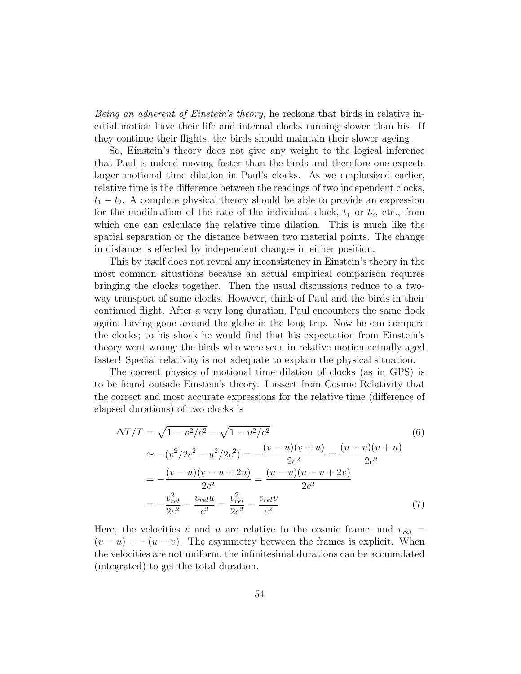Being an adherent of Einstein's theory, he reckons that birds in relative inertial motion have their life and internal clocks running slower than his. If they continue their flights, the birds should maintain their slower ageing.

So, Einstein's theory does not give any weight to the logical inference that Paul is indeed moving faster than the birds and therefore one expects larger motional time dilation in Paul's clocks. As we emphasized earlier, relative time is the difference between the readings of two independent clocks,  $t_1 - t_2$ . A complete physical theory should be able to provide an expression for the modification of the rate of the individual clock,  $t_1$  or  $t_2$ , etc., from which one can calculate the relative time dilation. This is much like the spatial separation or the distance between two material points. The change in distance is effected by independent changes in either position.

This by itself does not reveal any inconsistency in Einstein's theory in the most common situations because an actual empirical comparison requires bringing the clocks together. Then the usual discussions reduce to a twoway transport of some clocks. However, think of Paul and the birds in their continued flight. After a very long duration, Paul encounters the same flock again, having gone around the globe in the long trip. Now he can compare the clocks; to his shock he would find that his expectation from Einstein's theory went wrong; the birds who were seen in relative motion actually aged faster! Special relativity is not adequate to explain the physical situation.

The correct physics of motional time dilation of clocks (as in GPS) is to be found outside Einstein's theory. I assert from Cosmic Relativity that the correct and most accurate expressions for the relative time (difference of elapsed durations) of two clocks is

$$
\Delta T/T = \sqrt{1 - v^2/c^2} - \sqrt{1 - u^2/c^2}
$$
(6)  
\n
$$
\approx -(v^2/2c^2 - u^2/2c^2) = -\frac{(v - u)(v + u)}{2c^2} = \frac{(u - v)(v + u)}{2c^2}
$$
  
\n
$$
= -\frac{(v - u)(v - u + 2u)}{2c^2} = \frac{(u - v)(u - v + 2v)}{2c^2}
$$
  
\n
$$
= -\frac{v_{rel}^2}{2c^2} - \frac{v_{rel}u}{c^2} = \frac{v_{rel}^2}{2c^2} - \frac{v_{rel}v}{c^2}
$$
(7)

Here, the velocities v and u are relative to the cosmic frame, and  $v_{rel}$  =  $(v - u) = -(u - v)$ . The asymmetry between the frames is explicit. When the velocities are not uniform, the infinitesimal durations can be accumulated (integrated) to get the total duration.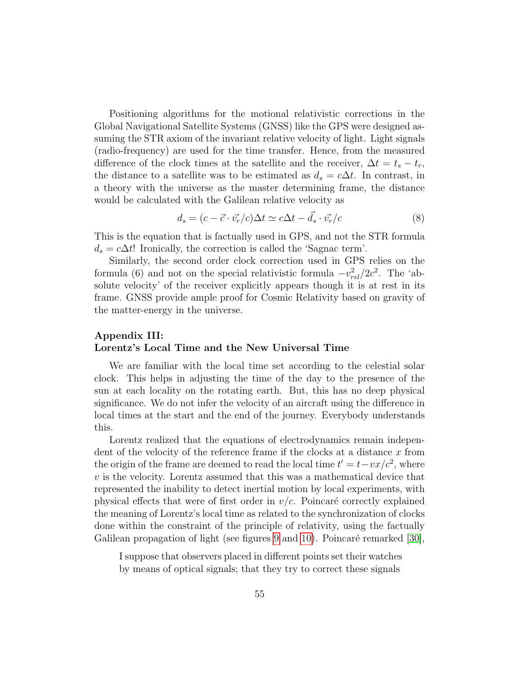Positioning algorithms for the motional relativistic corrections in the Global Navigational Satellite Systems (GNSS) like the GPS were designed assuming the STR axiom of the invariant relative velocity of light. Light signals (radio-frequency) are used for the time transfer. Hence, from the measured difference of the clock times at the satellite and the receiver,  $\Delta t = t_s - t_r$ , the distance to a satellite was to be estimated as  $d_s = c\Delta t$ . In contrast, in a theory with the universe as the master determining frame, the distance would be calculated with the Galilean relative velocity as

$$
d_s = (c - \vec{c} \cdot \vec{v_r}/c)\Delta t \simeq c\Delta t - \vec{d_s} \cdot \vec{v_r}/c \tag{8}
$$

This is the equation that is factually used in GPS, and not the STR formula  $d_s = c\Delta t!$  Ironically, the correction is called the 'Sagnac term'.

Similarly, the second order clock correction used in GPS relies on the formula (6) and not on the special relativistic formula  $-v_{rel}^2/2c^2$ . The 'absolute velocity' of the receiver explicitly appears though it is at rest in its frame. GNSS provide ample proof for Cosmic Relativity based on gravity of the matter-energy in the universe.

# Appendix III: Lorentz's Local Time and the New Universal Time

We are familiar with the local time set according to the celestial solar clock. This helps in adjusting the time of the day to the presence of the sun at each locality on the rotating earth. But, this has no deep physical significance. We do not infer the velocity of an aircraft using the difference in local times at the start and the end of the journey. Everybody understands this.

Lorentz realized that the equations of electrodynamics remain independent of the velocity of the reference frame if the clocks at a distance  $x$  from the origin of the frame are deemed to read the local time  $t' = t - v x/c^2$ , where  $v$  is the velocity. Lorentz assumed that this was a mathematical device that represented the inability to detect inertial motion by local experiments, with physical effects that were of first order in  $v/c$ . Poincaré correctly explained the meaning of Lorentz's local time as related to the synchronization of clocks done within the constraint of the principle of relativity, using the factually Galilean propagation of light (see figures [9](#page-55-0) and [10\)](#page-56-0). Poincaré remarked  $[30]$ ,

I suppose that observers placed in different points set their watches by means of optical signals; that they try to correct these signals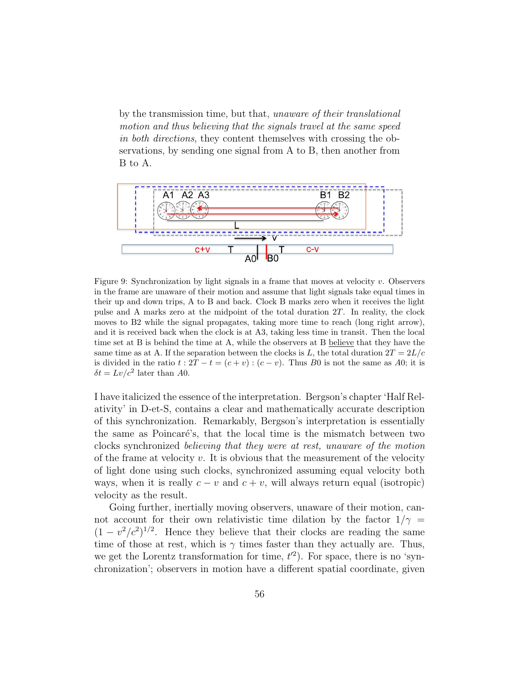by the transmission time, but that, unaware of their translational motion and thus believing that the signals travel at the same speed in both directions, they content themselves with crossing the observations, by sending one signal from A to B, then another from B to A.



<span id="page-55-0"></span>Figure 9: Synchronization by light signals in a frame that moves at velocity v. Observers in the frame are unaware of their motion and assume that light signals take equal times in their up and down trips, A to B and back. Clock B marks zero when it receives the light pulse and A marks zero at the midpoint of the total duration 2T. In reality, the clock moves to B2 while the signal propagates, taking more time to reach (long right arrow), and it is received back when the clock is at A3, taking less time in transit. Then the local time set at B is behind the time at A, while the observers at B believe that they have the same time as at A. If the separation between the clocks is L, the total duration  $2T = 2L/c$ is divided in the ratio  $t: 2T - t = (c + v) : (c - v)$ . Thus B0 is not the same as A0; it is  $\delta t = Lv/c^2$  later than A0.

I have italicized the essence of the interpretation. Bergson's chapter 'Half Relativity' in D-et-S, contains a clear and mathematically accurate description of this synchronization. Remarkably, Bergson's interpretation is essentially the same as Poincaré's, that the local time is the mismatch between two clocks synchronized believing that they were at rest, unaware of the motion of the frame at velocity  $v$ . It is obvious that the measurement of the velocity of light done using such clocks, synchronized assuming equal velocity both ways, when it is really  $c - v$  and  $c + v$ , will always return equal (isotropic) velocity as the result.

Going further, inertially moving observers, unaware of their motion, cannot account for their own relativistic time dilation by the factor  $1/\gamma$  =  $(1 - v^2/c^2)^{1/2}$ . Hence they believe that their clocks are reading the same time of those at rest, which is  $\gamma$  times faster than they actually are. Thus, we get the Lorentz transformation for time,  $t^2$ ). For space, there is no 'synchronization'; observers in motion have a different spatial coordinate, given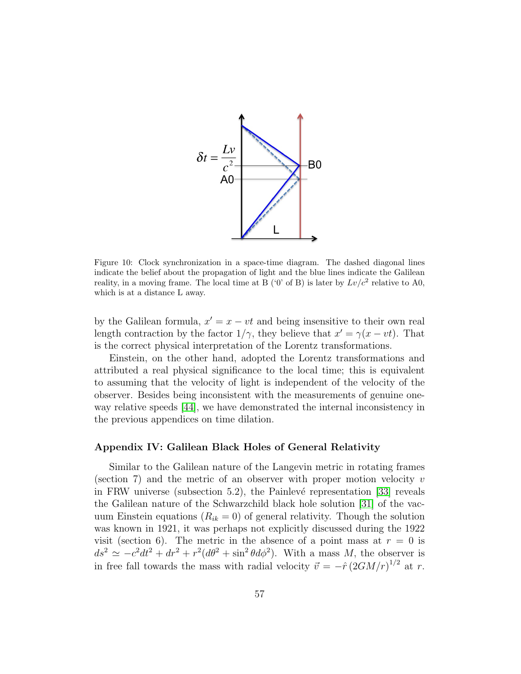

<span id="page-56-0"></span>Figure 10: Clock synchronization in a space-time diagram. The dashed diagonal lines indicate the belief about the propagation of light and the blue lines indicate the Galilean reality, in a moving frame. The local time at B ('0' of B) is later by  $Lv/c^2$  relative to A0, which is at a distance L away.

by the Galilean formula,  $x' = x - vt$  and being insensitive to their own real length contraction by the factor  $1/\gamma$ , they believe that  $x' = \gamma(x - vt)$ . That is the correct physical interpretation of the Lorentz transformations.

Einstein, on the other hand, adopted the Lorentz transformations and attributed a real physical significance to the local time; this is equivalent to assuming that the velocity of light is independent of the velocity of the observer. Besides being inconsistent with the measurements of genuine oneway relative speeds [\[44\]](#page-61-5), we have demonstrated the internal inconsistency in the previous appendices on time dilation.

## Appendix IV: Galilean Black Holes of General Relativity

Similar to the Galilean nature of the Langevin metric in rotating frames (section 7) and the metric of an observer with proper motion velocity  $v$ in FRW universe (subsection 5.2), the Painlevé representation  $[33]$  reveals the Galilean nature of the Schwarzchild black hole solution [\[31\]](#page-60-4) of the vacuum Einstein equations ( $R_{ik} = 0$ ) of general relativity. Though the solution was known in 1921, it was perhaps not explicitly discussed during the 1922 visit (section 6). The metric in the absence of a point mass at  $r = 0$  is  $ds^2 \simeq -c^2 dt^2 + dr^2 + r^2 (d\theta^2 + \sin^2 \theta d\phi^2)$ . With a mass M, the observer is in free fall towards the mass with radial velocity  $\vec{v} = -\hat{r} (2GM/r)^{1/2}$  at r.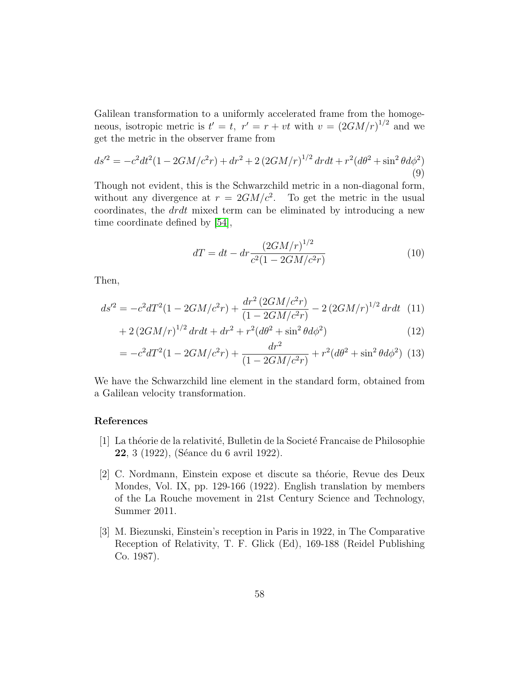Galilean transformation to a uniformly accelerated frame from the homogeneous, isotropic metric is  $t' = t$ ,  $r' = r + vt$  with  $v = (2GM/r)^{1/2}$  and we get the metric in the observer frame from

$$
ds'^{2} = -c^{2}dt^{2}(1 - 2GM/c^{2}r) + dr^{2} + 2(2GM/r)^{1/2} drdt + r^{2}(d\theta^{2} + \sin^{2}\theta d\phi^{2})
$$
\n(9)

Though not evident, this is the Schwarzchild metric in a non-diagonal form, without any divergence at  $r = 2GM/c^2$ . To get the metric in the usual coordinates, the drdt mixed term can be eliminated by introducing a new time coordinate defined by [\[54\]](#page-62-4),

$$
dT = dt - dr \frac{(2GM/r)^{1/2}}{c^2(1 - 2GM/c^2r)}\tag{10}
$$

Then,

$$
ds'^{2} = -c^{2}dT^{2}(1 - 2GM/c^{2}r) + \frac{dr^{2}(2GM/c^{2}r)}{(1 - 2GM/c^{2}r)} - 2(2GM/r)^{1/2}drdt
$$
 (11)

$$
+ 2(2GM/r)^{1/2} drdt + dr^2 + r^2(d\theta^2 + \sin^2\theta d\phi^2)
$$
\n(12)

$$
= -c^2 dT^2 (1 - 2GM/c^2 r) + \frac{dr^2}{(1 - 2GM/c^2 r)} + r^2 (d\theta^2 + \sin^2 \theta d\phi^2)
$$
 (13)

We have the Schwarzchild line element in the standard form, obtained from a Galilean velocity transformation.

# References

- <span id="page-57-0"></span>[1] La théorie de la relativité, Bulletin de la Societé Francaise de Philosophie 22, 3 (1922), (Séance du 6 avril 1922).
- <span id="page-57-1"></span>[2] C. Nordmann, Einstein expose et discute sa théorie, Revue des Deux Mondes, Vol. IX, pp. 129-166 (1922). English translation by members of the La Rouche movement in 21st Century Science and Technology, Summer 2011.
- <span id="page-57-2"></span>[3] M. Biezunski, Einstein's reception in Paris in 1922, in The Comparative Reception of Relativity, T. F. Glick (Ed), 169-188 (Reidel Publishing Co. 1987).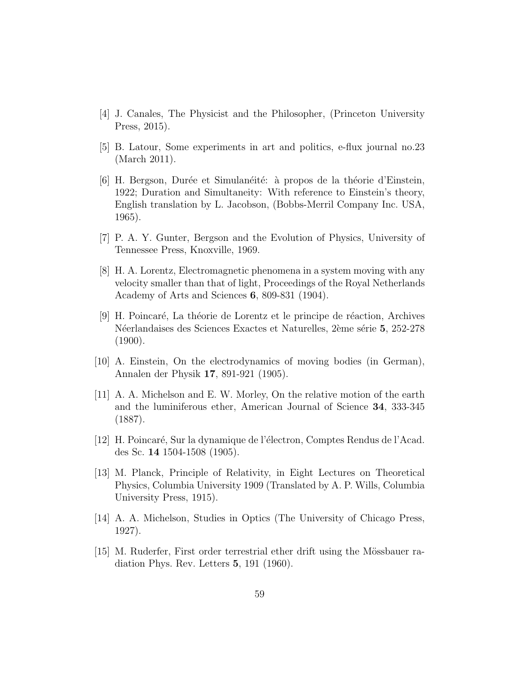- <span id="page-58-0"></span>[4] J. Canales, The Physicist and the Philosopher, (Princeton University Press, 2015).
- <span id="page-58-1"></span>[5] B. Latour, Some experiments in art and politics, e-flux journal no.23 (March 2011).
- <span id="page-58-2"></span>[6] H. Bergson, Durée et Simulanéité: à propos de la théorie d'Einstein, 1922; Duration and Simultaneity: With reference to Einstein's theory, English translation by L. Jacobson, (Bobbs-Merril Company Inc. USA, 1965).
- <span id="page-58-3"></span>[7] P. A. Y. Gunter, Bergson and the Evolution of Physics, University of Tennessee Press, Knoxville, 1969.
- <span id="page-58-4"></span>[8] H. A. Lorentz, Electromagnetic phenomena in a system moving with any velocity smaller than that of light, Proceedings of the Royal Netherlands Academy of Arts and Sciences 6, 809-831 (1904).
- <span id="page-58-5"></span>[9] H. Poincaré, La théorie de Lorentz et le principe de réaction, Archives Néerlandaises des Sciences Exactes et Naturelles, 2ème série 5, 252-278  $(1900).$
- <span id="page-58-6"></span>[10] A. Einstein, On the electrodynamics of moving bodies (in German), Annalen der Physik 17, 891-921 (1905).
- <span id="page-58-7"></span>[11] A. A. Michelson and E. W. Morley, On the relative motion of the earth and the luminiferous ether, American Journal of Science 34, 333-345 (1887).
- <span id="page-58-8"></span>[12] H. Poincaré, Sur la dynamique de l'électron, Comptes Rendus de l'Acad. des Sc. 14 1504-1508 (1905).
- <span id="page-58-9"></span>[13] M. Planck, Principle of Relativity, in Eight Lectures on Theoretical Physics, Columbia University 1909 (Translated by A. P. Wills, Columbia University Press, 1915).
- <span id="page-58-10"></span>[14] A. A. Michelson, Studies in Optics (The University of Chicago Press, 1927).
- <span id="page-58-11"></span>[15] M. Ruderfer, First order terrestrial ether drift using the Mössbauer radiation Phys. Rev. Letters 5, 191 (1960).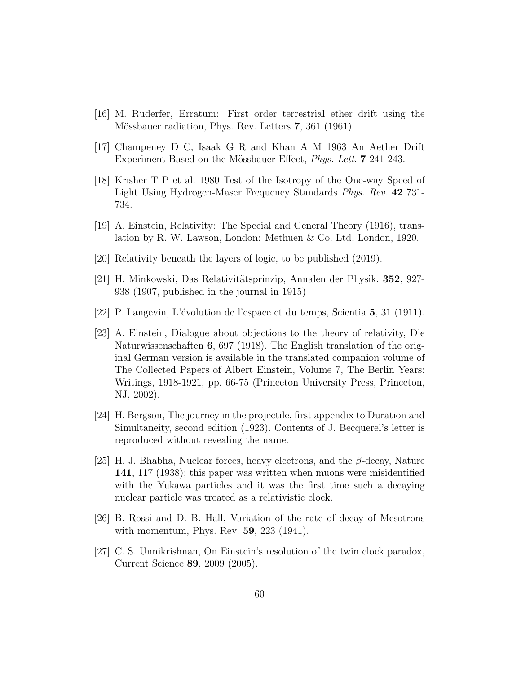- <span id="page-59-0"></span>[16] M. Ruderfer, Erratum: First order terrestrial ether drift using the Mössbauer radiation, Phys. Rev. Letters 7, 361 (1961).
- <span id="page-59-1"></span>[17] Champeney D C, Isaak G R and Khan A M 1963 An Aether Drift Experiment Based on the Mössbauer Effect, *Phys. Lett.* **7** 241-243.
- <span id="page-59-2"></span>[18] Krisher T P et al. 1980 Test of the Isotropy of the One-way Speed of Light Using Hydrogen-Maser Frequency Standards Phys. Rev. 42 731- 734.
- <span id="page-59-3"></span>[19] A. Einstein, Relativity: The Special and General Theory (1916), translation by R. W. Lawson, London: Methuen & Co. Ltd, London, 1920.
- <span id="page-59-4"></span>[20] Relativity beneath the layers of logic, to be published (2019).
- <span id="page-59-5"></span>[21] H. Minkowski, Das Relativitätsprinzip, Annalen der Physik. 352, 927-938 (1907, published in the journal in 1915)
- <span id="page-59-6"></span>[22] P. Langevin, L'´evolution de l'espace et du temps, Scientia 5, 31 (1911).
- <span id="page-59-7"></span>[23] A. Einstein, Dialogue about objections to the theory of relativity, Die Naturwissenschaften 6, 697 (1918). The English translation of the original German version is available in the translated companion volume of The Collected Papers of Albert Einstein, Volume 7, The Berlin Years: Writings, 1918-1921, pp. 66-75 (Princeton University Press, Princeton, NJ, 2002).
- <span id="page-59-8"></span>[24] H. Bergson, The journey in the projectile, first appendix to Duration and Simultaneity, second edition (1923). Contents of J. Becquerel's letter is reproduced without revealing the name.
- <span id="page-59-9"></span>[25] H. J. Bhabha, Nuclear forces, heavy electrons, and the  $\beta$ -decay, Nature 141, 117 (1938); this paper was written when muons were misidentified with the Yukawa particles and it was the first time such a decaying nuclear particle was treated as a relativistic clock.
- <span id="page-59-10"></span>[26] B. Rossi and D. B. Hall, Variation of the rate of decay of Mesotrons with momentum, Phys. Rev. 59, 223 (1941).
- <span id="page-59-11"></span>[27] C. S. Unnikrishnan, On Einstein's resolution of the twin clock paradox, Current Science 89, 2009 (2005).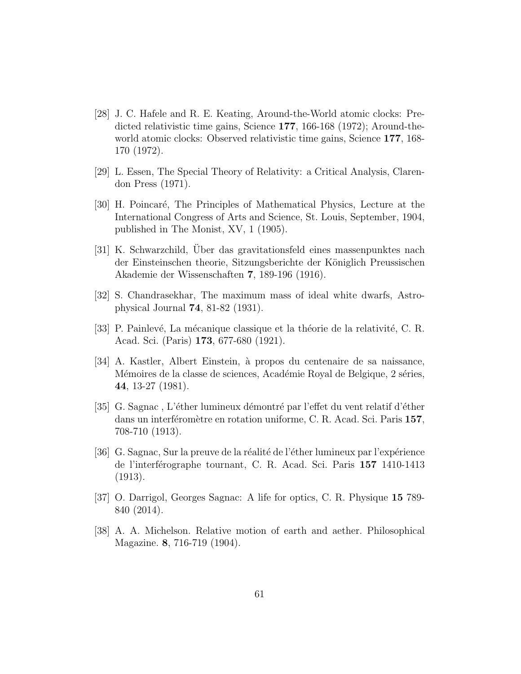- <span id="page-60-1"></span>[28] J. C. Hafele and R. E. Keating, Around-the-World atomic clocks: Predicted relativistic time gains, Science 177, 166-168 (1972); Around-theworld atomic clocks: Observed relativistic time gains, Science 177, 168- 170 (1972).
- <span id="page-60-2"></span>[29] L. Essen, The Special Theory of Relativity: a Critical Analysis, Clarendon Press (1971).
- <span id="page-60-3"></span>[30] H. Poincar´e, The Principles of Mathematical Physics, Lecture at the International Congress of Arts and Science, St. Louis, September, 1904, published in The Monist, XV, 1 (1905).
- <span id="page-60-4"></span>[31] K. Schwarzchild, Uber das gravitationsfeld eines massenpunktes nach der Einsteinschen theorie, Sitzungsberichte der Königlich Preussischen Akademie der Wissenschaften 7, 189-196 (1916).
- <span id="page-60-5"></span>[32] S. Chandrasekhar, The maximum mass of ideal white dwarfs, Astrophysical Journal 74, 81-82 (1931).
- <span id="page-60-6"></span>[33] P. Painlevé, La mécanique classique et la théorie de la relativité, C. R. Acad. Sci. (Paris) 173, 677-680 (1921).
- <span id="page-60-0"></span>[34] A. Kastler, Albert Einstein, à propos du centenaire de sa naissance, Mémoires de la classe de sciences, Académie Royal de Belgique, 2 séries, 44, 13-27 (1981).
- <span id="page-60-7"></span>[35] G. Sagnac, L'éther lumineux démontré par l'effet du vent relatif d'éther dans un interféromètre en rotation uniforme, C. R. Acad. Sci. Paris 157, 708-710 (1913).
- <span id="page-60-8"></span>[36] G. Sagnac, Sur la preuve de la réalité de l'éther lumineux par l'expérience de l'interférographe tournant, C. R. Acad. Sci. Paris 157 1410-1413 (1913).
- <span id="page-60-9"></span>[37] O. Darrigol, Georges Sagnac: A life for optics, C. R. Physique 15 789- 840 (2014).
- <span id="page-60-10"></span>[38] A. A. Michelson. Relative motion of earth and aether. Philosophical Magazine. 8, 716-719 (1904).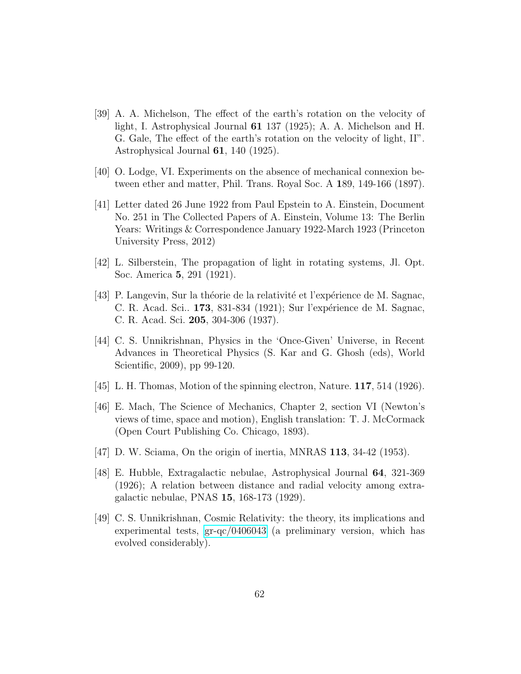- <span id="page-61-0"></span>[39] A. A. Michelson, The effect of the earth's rotation on the velocity of light, I. Astrophysical Journal 61 137 (1925); A. A. Michelson and H. G. Gale, The effect of the earth's rotation on the velocity of light, II". Astrophysical Journal 61, 140 (1925).
- <span id="page-61-1"></span>[40] O. Lodge, VI. Experiments on the absence of mechanical connexion between ether and matter, Phil. Trans. Royal Soc. A 189, 149-166 (1897).
- <span id="page-61-2"></span>[41] Letter dated 26 June 1922 from Paul Epstein to A. Einstein, Document No. 251 in The Collected Papers of A. Einstein, Volume 13: The Berlin Years: Writings & Correspondence January 1922-March 1923 (Princeton University Press, 2012)
- <span id="page-61-3"></span>[42] L. Silberstein, The propagation of light in rotating systems, Jl. Opt. Soc. America 5, 291 (1921).
- <span id="page-61-4"></span>[43] P. Langevin, Sur la théorie de la relativité et l'expérience de M. Sagnac, C. R. Acad. Sci.. 173, 831-834 (1921); Sur l'expérience de M. Sagnac, C. R. Acad. Sci. 205, 304-306 (1937).
- <span id="page-61-5"></span>[44] C. S. Unnikrishnan, Physics in the 'Once-Given' Universe, in Recent Advances in Theoretical Physics (S. Kar and G. Ghosh (eds), World Scientific, 2009), pp 99-120.
- <span id="page-61-6"></span>[45] L. H. Thomas, Motion of the spinning electron, Nature.  $117, 514$  (1926).
- <span id="page-61-7"></span>[46] E. Mach, The Science of Mechanics, Chapter 2, section VI (Newton's views of time, space and motion), English translation: T. J. McCormack (Open Court Publishing Co. Chicago, 1893).
- <span id="page-61-8"></span> $[47]$  D. W. Sciama, On the origin of inertia, MNRAS 113, 34-42 (1953).
- <span id="page-61-9"></span>[48] E. Hubble, Extragalactic nebulae, Astrophysical Journal 64, 321-369 (1926); A relation between distance and radial velocity among extragalactic nebulae, PNAS 15, 168-173 (1929).
- <span id="page-61-10"></span>[49] C. S. Unnikrishnan, Cosmic Relativity: the theory, its implications and experimental tests, [gr-qc/0406043](http://arxiv.org/abs/gr-qc/0406043) (a preliminary version, which has evolved considerably).